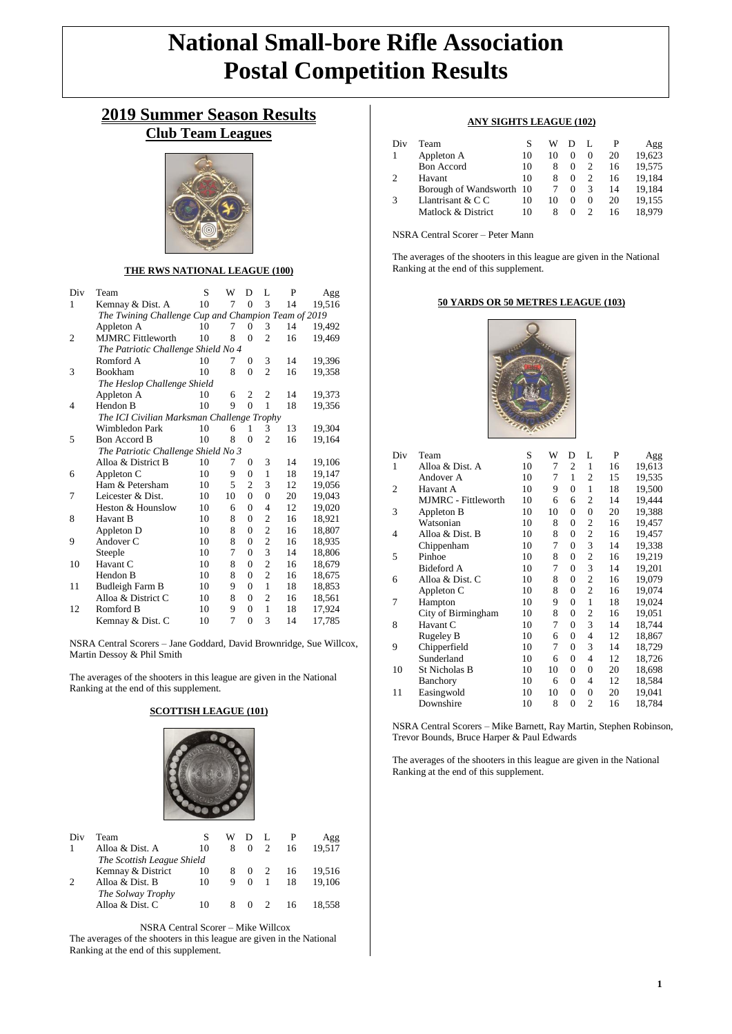# **National Small-bore Rifle Association Postal Competition Results**

## **2019 Summer Season Results Club Team Leagues**



#### **THE RWS NATIONAL LEAGUE (100)**

| Div            | Team                                                | S  | W  | D              | L              | P  | Agg    |
|----------------|-----------------------------------------------------|----|----|----------------|----------------|----|--------|
| 1              | Kemnay & Dist. A                                    | 10 | 7  | $\theta$       | 3              | 14 | 19,516 |
|                | The Twining Challenge Cup and Champion Team of 2019 |    |    |                |                |    |        |
|                | Appleton A                                          | 10 | 7  | 0              | 3              | 14 | 19,492 |
| $\overline{c}$ | <b>MJMRC</b> Fittleworth                            | 10 | 8  | $\theta$       | $\overline{2}$ | 16 | 19,469 |
|                | The Patriotic Challenge Shield No 4                 |    |    |                |                |    |        |
|                | Romford A                                           | 10 | 7  | $\Omega$       | 3              | 14 | 19,396 |
| 3              | <b>Bookham</b>                                      | 10 | 8  | $\Omega$       | $\overline{c}$ | 16 | 19,358 |
|                | The Heslop Challenge Shield                         |    |    |                |                |    |        |
|                | Appleton A                                          | 10 | 6  | 2              | $\overline{2}$ | 14 | 19,373 |
| 4              | Hendon B                                            | 10 | 9  | $\theta$       | 1              | 18 | 19,356 |
|                | The ICI Civilian Marksman Challenge Trophy          |    |    |                |                |    |        |
|                | Wimbledon Park                                      | 10 | 6  | 1              | 3              | 13 | 19,304 |
| 5              | <b>Bon Accord B</b>                                 | 10 | 8  | $\theta$       | $\overline{2}$ | 16 | 19,164 |
|                | The Patriotic Challenge Shield No 3                 |    |    |                |                |    |        |
|                | Alloa & District B                                  | 10 | 7  | 0              | 3              | 14 | 19,106 |
| 6              | Appleton C                                          | 10 | 9  | $\overline{0}$ | 1              | 18 | 19,147 |
|                | Ham & Petersham                                     | 10 | 5  | $\overline{2}$ | 3              | 12 | 19,056 |
| 7              | Leicester & Dist.                                   | 10 | 10 | $\theta$       | $\overline{0}$ | 20 | 19,043 |
|                | Heston & Hounslow                                   | 10 | 6  | $\theta$       | 4              | 12 | 19,020 |
| 8              | Havant B                                            | 10 | 8  | $\theta$       | $\overline{c}$ | 16 | 18,921 |
|                | Appleton D                                          | 10 | 8  | $\theta$       | $\overline{c}$ | 16 | 18,807 |
| 9              | Andover C                                           | 10 | 8  | $\overline{0}$ | $\overline{c}$ | 16 | 18,935 |
|                | Steeple                                             | 10 | 7  | $\theta$       | 3              | 14 | 18,806 |
| 10             | Havant C                                            | 10 | 8  | $\theta$       | $\overline{2}$ | 16 | 18,679 |
|                | Hendon B                                            | 10 | 8  | $\theta$       | $\overline{c}$ | 16 | 18,675 |
| 11             | Budleigh Farm B                                     | 10 | 9  | $\Omega$       | 1              | 18 | 18,853 |
|                | Alloa & District C                                  | 10 | 8  | $\theta$       | $\overline{2}$ | 16 | 18,561 |
| 12             | Romford B                                           | 10 | 9  | $\Omega$       | 1              | 18 | 17,924 |
|                | Kemnay & Dist. C                                    | 10 | 7  | $\overline{0}$ | 3              | 14 | 17,785 |

NSRA Central Scorers – Jane Goddard, David Brownridge, Sue Willcox, Martin Dessoy & Phil Smith

The averages of the shooters in this league are given in the National Ranking at the end of this supplement.

#### **SCOTTISH LEAGUE (101)**



| Div                        | Team              |    | w  |          |   |    | Agg    |
|----------------------------|-------------------|----|----|----------|---|----|--------|
|                            | Alloa & Dist. A   | 10 | 8  | $\Omega$ | 2 | 16 | 19.517 |
| The Scottish League Shield |                   |    |    |          |   |    |        |
|                            | Kemnay & District | 10 | 8. | $\Omega$ |   | 16 | 19.516 |
| ∍                          | Alloa & Dist. B   | 10 | 9  | $\Omega$ |   | 18 | 19.106 |
|                            | The Solway Trophy |    |    |          |   |    |        |
|                            | Alloa & Dist. C   |    | 8  | $\Omega$ |   | 16 | 18.558 |

NSRA Central Scorer – Mike Willcox The averages of the shooters in this league are given in the National Ranking at the end of this supplement.

#### **ANY SIGHTS LEAGUE (102)**

| Div | Team                     |    | w  |          |          |    | Agg    |
|-----|--------------------------|----|----|----------|----------|----|--------|
|     | Appleton A               | 10 | 10 |          | $\Omega$ | 20 | 19.623 |
|     | <b>Bon Accord</b>        | 10 | 8  | $\Omega$ |          | 16 | 19.575 |
|     | Havant                   | 10 | 8  | $\Omega$ |          | 16 | 19.184 |
|     | Borough of Wandsworth 10 |    |    | $\Omega$ | 3        | 14 | 19.184 |
|     | Llantrisant $& C C$      | 10 | 10 |          | $\Omega$ | 20 | 19.155 |
|     | Matlock & District       | 10 | 8  |          |          | 16 | 18.979 |

NSRA Central Scorer – Peter Mann

The averages of the shooters in this league are given in the National Ranking at the end of this supplement.

#### **50 YARDS OR 50 METRES LEAGUE (103)**



| Div | Team                       | S  | W  | D              | L              | P  | Agg    |
|-----|----------------------------|----|----|----------------|----------------|----|--------|
| 1   | Alloa & Dist. A            | 10 | 7  | 2              | 1              | 16 | 19,613 |
|     | Andover A                  | 10 | 7  | 1              | $\overline{c}$ | 15 | 19,535 |
| 2   | Havant A                   | 10 | 9  | $\overline{0}$ | $\mathbf{1}$   | 18 | 19,500 |
|     | <b>MJMRC</b> - Fittleworth | 10 | 6  | 6              | 2              | 14 | 19,444 |
| 3   | Appleton B                 | 10 | 10 | 0              | $\overline{0}$ | 20 | 19,388 |
|     | Watsonian                  | 10 | 8  | $\overline{0}$ | 2              | 16 | 19,457 |
| 4   | Alloa & Dist. B            | 10 | 8  | 0              | $\overline{2}$ | 16 | 19,457 |
|     | Chippenham                 | 10 | 7  | 0              | 3              | 14 | 19,338 |
| 5   | Pinhoe                     | 10 | 8  | 0              | $\overline{2}$ | 16 | 19,219 |
|     | <b>Bideford A</b>          | 10 | 7  | $\theta$       | 3              | 14 | 19,201 |
| 6   | Alloa & Dist. C            | 10 | 8  | 0              | $\overline{2}$ | 16 | 19,079 |
|     | Appleton C                 | 10 | 8  | 0              | $\overline{2}$ | 16 | 19,074 |
| 7   | Hampton                    | 10 | 9  | 0              | $\mathbf{1}$   | 18 | 19,024 |
|     | City of Birmingham         | 10 | 8  | $\overline{0}$ | 2              | 16 | 19,051 |
| 8   | Havant C                   | 10 | 7  | $\theta$       | 3              | 14 | 18,744 |
|     | Rugeley B                  | 10 | 6  | 0              | 4              | 12 | 18,867 |
| 9   | Chipperfield               | 10 | 7  | 0              | 3              | 14 | 18,729 |
|     | Sunderland                 | 10 | 6  | $\theta$       | 4              | 12 | 18,726 |
| 10  | St Nicholas B              | 10 | 10 | $\mathbf{0}$   | $\overline{0}$ | 20 | 18,698 |
|     | Banchory                   | 10 | 6  | $\theta$       | 4              | 12 | 18,584 |
| 11  | Easingwold                 | 10 | 10 | $\mathbf{0}$   | $\overline{0}$ | 20 | 19,041 |
|     | Downshire                  | 10 | 8  | $\overline{0}$ | $\overline{2}$ | 16 | 18,784 |

NSRA Central Scorers – Mike Barnett, Ray Martin, Stephen Robinson, Trevor Bounds, Bruce Harper & Paul Edwards

The averages of the shooters in this league are given in the National Ranking at the end of this supplement.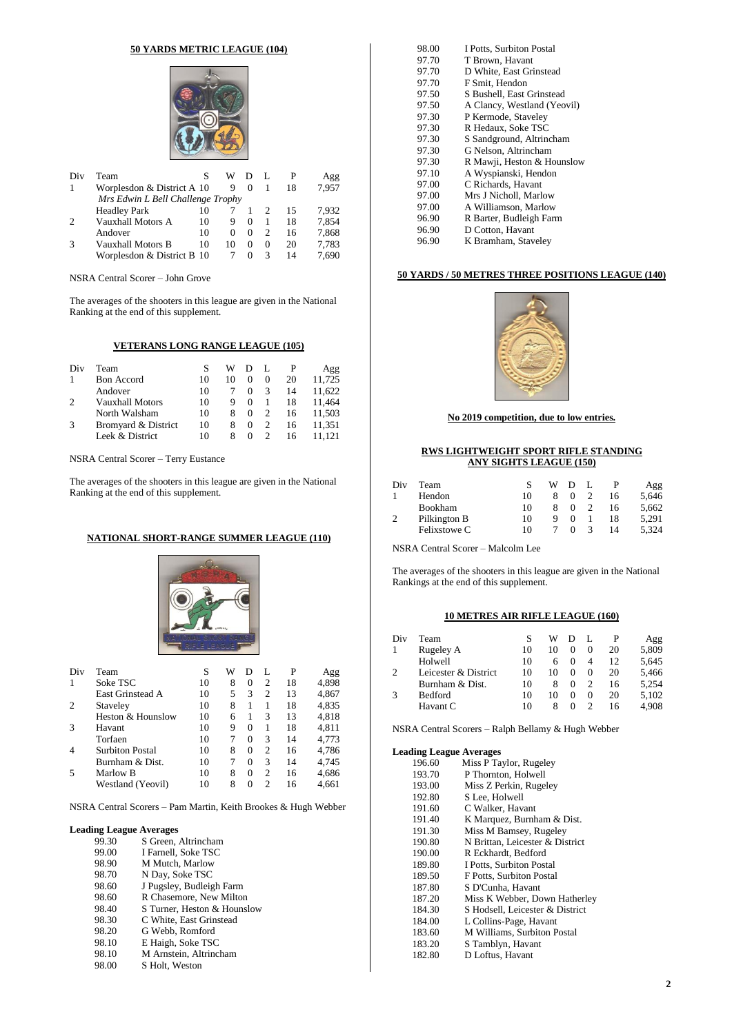#### **50 YARDS METRIC LEAGUE (104)**



| Div           | Team                              |    | w        |          |          |    | Agg   |
|---------------|-----------------------------------|----|----------|----------|----------|----|-------|
|               | Worplesdon & District A 10        |    | 9        | $\theta$ |          | 18 | 7.957 |
|               | Mrs Edwin L Bell Challenge Trophy |    |          |          |          |    |       |
|               | <b>Headley Park</b>               | 10 |          |          |          | 15 | 7.932 |
| $\mathcal{D}$ | Vauxhall Motors A                 | 10 | 9        | $\theta$ |          | 18 | 7.854 |
|               | Andover                           | 10 | $\Omega$ | 0        |          | 16 | 7,868 |
|               | Vauxhall Motors B                 | 10 | 10       | 0        | $^{(1)}$ | 20 | 7,783 |
|               | Worplesdon & District B 10        |    |          | 0        |          | 14 | 7.690 |

NSRA Central Scorer – John Grove

The averages of the shooters in this league are given in the National Ranking at the end of this supplement.

### **VETERANS LONG RANGE LEAGUE (105)**

| Div           | Team                |    | W  |          |          |    | Agg    |
|---------------|---------------------|----|----|----------|----------|----|--------|
|               | <b>Bon Accord</b>   | 10 | 10 |          | $\Omega$ | 20 | 11,725 |
|               | Andover             | 10 |    |          |          | 14 | 11.622 |
| ∍             | Vauxhall Motors     | 10 | 9  | $\theta$ |          | 18 | 11.464 |
|               | North Walsham       | 10 | 8  | $\theta$ |          | 16 | 11.503 |
| $\mathcal{R}$ | Bromyard & District | 10 | 8  | $^{(1)}$ |          | 16 | 11.351 |
|               | Leek & District     | 10 |    |          |          | 16 |        |

NSRA Central Scorer – Terry Eustance

The averages of the shooters in this league are given in the National Ranking at the end of this supplement.

#### **NATIONAL SHORT-RANGE SUMMER LEAGUE (110)**



| Div | Team                   | S  | W |          | L              | P  | Agg   |
|-----|------------------------|----|---|----------|----------------|----|-------|
|     | Soke TSC               | 10 | 8 | $\Omega$ | 2              | 18 | 4,898 |
|     | East Grinstead A       | 10 | 5 | 3        | $\overline{c}$ | 13 | 4,867 |
| 2   | Staveley               | 10 | 8 |          |                | 18 | 4,835 |
|     | Heston & Hounslow      | 10 | 6 | 1        | 3              | 13 | 4,818 |
| 3   | Havant                 | 10 | 9 | $^{(1)}$ |                | 18 | 4.811 |
|     | Torfaen                | 10 |   | 0        | 3              | 14 | 4,773 |
| 4   | <b>Surbiton Postal</b> | 10 | 8 | $\Omega$ | 2              | 16 | 4,786 |
|     | Burnham & Dist.        | 10 |   | 0        | 3              | 14 | 4,745 |
| 5   | Marlow B               | 10 | 8 | $\Omega$ | $\overline{c}$ | 16 | 4,686 |
|     | Westland (Yeovil)      | 10 | 8 | $\Omega$ | $\mathfrak{D}$ | 16 | 4,661 |
|     |                        |    |   |          |                |    |       |

#### NSRA Central Scorers – Pam Martin, Keith Brookes & Hugh Webber

# **Leading League Averages**<br>99.30 S Green,

- 99.30 S Green, Altrincham<br>99.00 I Farnell, Soke TSC
- 99.00 I Farnell, Soke TSC<br>98.90 M Mutch, Marlow
- M Mutch, Marlow
- 98.70 N Day, Soke TSC<br>98.60 J Pugsley, Budleig
- 98.60 J Pugsley, Budleigh Farm<br>98.60 R Chasemore, New Milton
- R Chasemore, New Milton
- 98.40 S Turner, Heston & Hounslow<br>98.30 C White, East Grinstead
- 98.30 C White, East Grinstead<br>98.20 G Webb, Romford
- 98.20 G Webb, Romford<br>98.10 E Haigh, Soke TSC
- E Haigh, Soke TSC
- 98.10 M Arnstein, Altrincham<br>98.00 S Holt, Weston
- S Holt, Weston

| 98.00 | I Potts, Surbiton Postal    |
|-------|-----------------------------|
| 97.70 | T Brown, Havant             |
| 97.70 | D White, East Grinstead     |
| 97.70 | F Smit, Hendon              |
| 97.50 | S Bushell, East Grinstead   |
| 97.50 | A Clancy, Westland (Yeovil) |
| 97.30 | P Kermode, Staveley         |
| 97.30 | R Hedaux, Soke TSC          |
| 97.30 | S Sandground, Altrincham    |
| 97.30 | G Nelson, Altrincham        |
| 97.30 | R Mawji, Heston & Hounslow  |
| 97.10 | A Wyspianski, Hendon        |
| 97.00 | C Richards, Havant          |
| 97.00 | Mrs J Nicholl, Marlow       |
| 97.00 | A Williamson, Marlow        |
| 96.90 | R Barter, Budleigh Farm     |
| 96.90 | D Cotton, Havant            |
| 96.90 | K Bramham. Stavelev         |

#### **50 YARDS / 50 METRES THREE POSITIONS LEAGUE (140)**



#### **No 2019 competition, due to low entries.**

#### **RWS LIGHTWEIGHT SPORT RIFLE STANDING ANY SIGHTS LEAGUE (150)**

| Div | Team           |    | w | D |   |    | Agg   |
|-----|----------------|----|---|---|---|----|-------|
|     | Hendon         | 10 |   |   |   | 16 | 5,646 |
|     | <b>Bookham</b> | 10 |   |   |   | 16 | 5,662 |
| 2   | Pilkington B   | 10 |   |   |   | 18 | 5.291 |
|     | Felixstowe C   | 10 |   |   | 3 | 14 | 5.324 |

NSRA Central Scorer – Malcolm Lee

The averages of the shooters in this league are given in the National Rankings at the end of this supplement.

#### **10 METRES AIR RIFLE LEAGUE (160)**

| Div | Team                 | S  | W  |          |          |    | Agg   |
|-----|----------------------|----|----|----------|----------|----|-------|
|     | Rugeley A            | 10 | 10 | $\Omega$ | $\Omega$ | 20 | 5,809 |
|     | Holwell              | 10 | h  | $\Omega$ | 4        | 12 | 5,645 |
|     | Leicester & District | 10 | 10 | $\theta$ | $_{0}$   | 20 | 5,466 |
|     | Burnham & Dist.      | 10 | 8  | $\theta$ |          | 16 | 5,254 |
|     | Bedford              | 10 | 10 | 0        | $\Omega$ | 20 | 5,102 |
|     | Havant C             | 10 |    | $\theta$ |          | 16 | 4.908 |

NSRA Central Scorers – Ralph Bellamy & Hugh Webber

| 196.60 | Miss P Taylor, Rugeley          |
|--------|---------------------------------|
| 193.70 | P Thornton, Holwell             |
| 193.00 | Miss Z Perkin, Rugeley          |
| 192.80 | S Lee, Holwell                  |
| 191.60 | C Walker, Havant                |
| 191.40 | K Marquez, Burnham & Dist.      |
| 191.30 | Miss M Bamsey, Rugeley          |
| 190.80 | N Brittan, Leicester & District |
| 190.00 | R Eckhardt, Bedford             |
| 189.80 | I Potts, Surbiton Postal        |
| 189.50 | F Potts, Surbiton Postal        |
| 187.80 | S D'Cunha, Havant               |
| 187.20 | Miss K Webber, Down Hatherley   |
| 184.30 | S Hodsell, Leicester & District |
| 184.00 | L Collins-Page, Havant          |
| 183.60 | M Williams, Surbiton Postal     |
| 183.20 | S Tamblyn, Havant               |
| 182.80 | D Loftus, Havant                |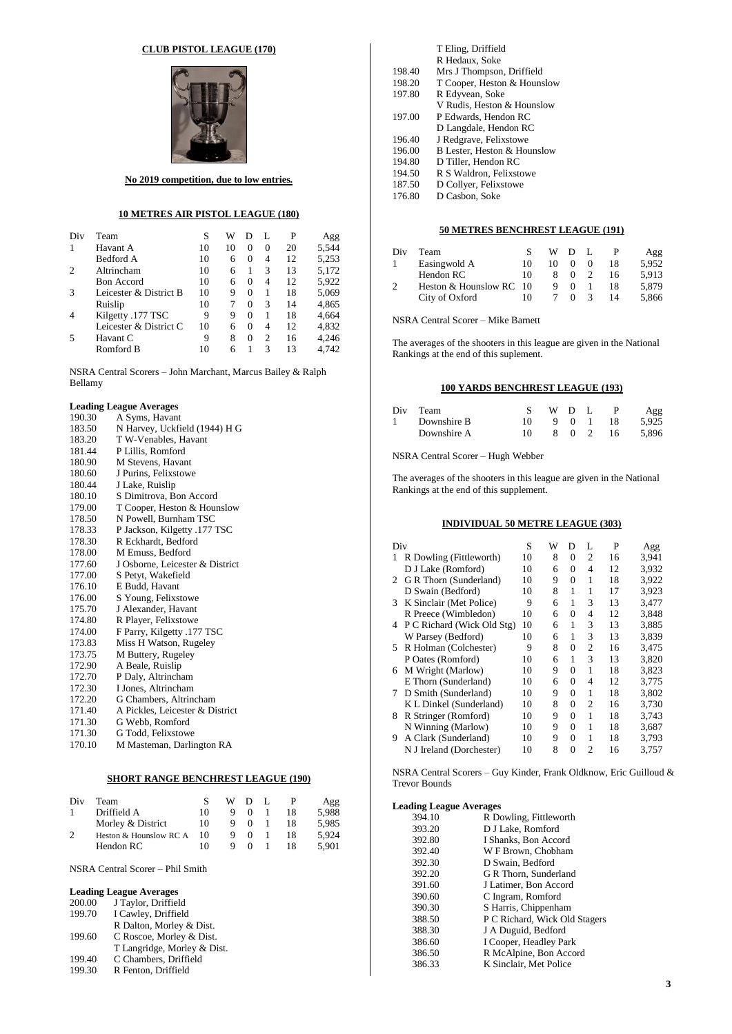#### **CLUB PISTOL LEAGUE (170)**



**No 2019 competition, due to low entries.**

#### **10 METRES AIR PISTOL LEAGUE (180)**

| Div | Team                   | S  | W  | Ð        |          | P  | Agg   |
|-----|------------------------|----|----|----------|----------|----|-------|
|     | Havant A               | 10 | 10 | $\Omega$ | $\Omega$ | 20 | 5,544 |
|     | Bedford A              | 10 | 6  | $\Omega$ | 4        | 12 | 5,253 |
|     | Altrincham             | 10 | 6  |          | 3        | 13 | 5,172 |
|     | <b>Bon Accord</b>      | 10 | 6  | $\Omega$ | 4        | 12 | 5,922 |
| 3   | Leicester & District B | 10 | 9  | $\Omega$ |          | 18 | 5,069 |
|     | Ruislip                | 10 |    | $\Omega$ | 3        | 14 | 4,865 |
| 4   | Kilgetty .177 TSC      | 9  | 9  | $\Omega$ |          | 18 | 4.664 |
|     | Leicester & District C | 10 | 6  | $\Omega$ | 4        | 12 | 4.832 |
|     | Havant C               | 9  | 8  | $\theta$ | 2        | 16 | 4.246 |
|     | Romford B              | 10 | 6  |          | 3        | 13 | 4.742 |
|     |                        |    |    |          |          |    |       |

NSRA Central Scorers – John Marchant, Marcus Bailey & Ralph Bellamy

#### **Leading League Averages**

| 190.30 | A Syms, Havant                  |
|--------|---------------------------------|
| 183.50 | N Harvey, Uckfield (1944) H G   |
| 183.20 | T W-Venables, Havant            |
| 181.44 | P Lillis, Romford               |
| 180.90 | M Stevens, Havant               |
| 180.60 | J Purins, Felixstowe            |
| 180.44 | J Lake, Ruislip                 |
| 180.10 | S Dimitrova, Bon Accord         |
| 179.00 | T Cooper, Heston & Hounslow     |
| 178.50 | N Powell, Burnham TSC           |
| 178.33 | P Jackson, Kilgetty .177 TSC    |
| 178.30 | R Eckhardt, Bedford             |
| 178.00 | M Emuss, Bedford                |
| 177.60 | J Osborne, Leicester & District |
| 177.00 | S Petyt, Wakefield              |
| 176.10 | E Budd, Havant                  |
| 176.00 | S Young, Felixstowe             |
| 175.70 | J Alexander, Havant             |
| 174.80 | R Player, Felixstowe            |
| 174.00 | F Parry, Kilgetty .177 TSC      |
| 173.83 | Miss H Watson, Rugeley          |
| 173.75 | M Buttery, Rugeley              |
| 172.90 | A Beale, Ruislip                |
| 172.70 | P Daly, Altrincham              |
| 172.30 | I Jones, Altrincham             |
| 172.20 | G Chambers, Altrincham          |
| 171.40 | A Pickles, Leicester & District |
| 171.30 | G Webb, Romford                 |
| 171.30 | G Todd, Felixstowe              |
| 170.10 | M Masteman, Darlington RA       |

#### **SHORT RANGE BENCHREST LEAGUE (190)**

| Div | Team                   |    | W | D        |    | Agg   |
|-----|------------------------|----|---|----------|----|-------|
|     | Driffield A            | 10 |   | $\Omega$ | 18 | 5.988 |
|     | Morley & District      | 10 |   | $\theta$ | 18 | 5.985 |
| 2   | Heston & Hounslow RC A | 10 |   | $\theta$ | 18 | 5.924 |
|     | Hendon RC              | 10 |   |          | 18 | 5.901 |

NSRA Central Scorer – Phil Smith

#### **Leading League Averages**

| 200.00 | J Taylor, Driffield         |
|--------|-----------------------------|
| 199.70 | I Cawley, Driffield         |
|        | R Dalton, Morley & Dist.    |
| 199.60 | C Roscoe, Morley & Dist.    |
|        | T Langridge, Morley & Dist. |
| 199.40 | C Chambers, Driffield       |
| 199.30 | R Fenton, Driffield         |

|        | T Eling, Driffield          |
|--------|-----------------------------|
|        | R Hedaux, Soke              |
| 198.40 | Mrs J Thompson, Driffield   |
| 198.20 | T Cooper, Heston & Hounslow |
| 197.80 | R Edyvean, Soke             |
|        | V Rudis, Heston & Hounslow  |
| 197.00 | P Edwards, Hendon RC        |
|        | D Langdale, Hendon RC       |
| 196.40 | J Redgrave, Felixstowe      |
| 196.00 | B Lester, Heston & Hounslow |
| 194.80 | D Tiller, Hendon RC         |
| 194.50 | R S Waldron, Felixstowe     |
| 187.50 | D Collyer, Felixstowe       |
| 176.80 | D Casbon, Soke              |

#### **50 METRES BENCHREST LEAGUE (191)**

| Div | Team                    |    | W  | - D      |    | Agg   |
|-----|-------------------------|----|----|----------|----|-------|
|     | Easingwold A            | 10 | 10 |          | 18 | 5.952 |
|     | Hendon RC               | 10 | 8. |          | 16 | 5.913 |
|     | Heston & Hounslow RC 10 |    |    | $^{(1)}$ | 18 | 5.879 |
|     | City of Oxford          | 10 |    |          | 14 | 5.866 |

NSRA Central Scorer – Mike Barnett

The averages of the shooters in this league are given in the National Rankings at the end of this suplement.

#### **100 YARDS BENCHREST LEAGUE (193)**

| Div Team    |     | WDL. |       | P        | Agg   |
|-------------|-----|------|-------|----------|-------|
| Downshire B | 10. |      |       | 9 0 1 18 | 5.925 |
| Downshire A | 10. |      | 8 0 2 | - 16 -   | 5.896 |

NSRA Central Scorer – Hugh Webber

The averages of the shooters in this league are given in the National Rankings at the end of this supplement.

#### **INDIVIDUAL 50 METRE LEAGUE (303)**

| Div |                            | S  | w | D        | L              | P  | Agg   |
|-----|----------------------------|----|---|----------|----------------|----|-------|
| 1   | R Dowling (Fittleworth)    | 10 | 8 | 0        | 2              | 16 | 3,941 |
|     | D J Lake (Romford)         | 10 | 6 | 0        | 4              | 12 | 3.932 |
| 2   | G R Thorn (Sunderland)     | 10 | 9 | $\Omega$ | 1              | 18 | 3,922 |
|     | D Swain (Bedford)          | 10 | 8 | 1        | 1              | 17 | 3,923 |
| 3   | K Sinclair (Met Police)    | 9  | 6 | 1        | 3              | 13 | 3,477 |
|     | R Preece (Wimbledon)       | 10 | 6 | $\theta$ | 4              | 12 | 3.848 |
| 4   | P C Richard (Wick Old Stg) | 10 | 6 | 1        | 3              | 13 | 3.885 |
|     | W Parsey (Bedford)         | 10 | 6 | 1        | 3              | 13 | 3,839 |
| 5.  | R Holman (Colchester)      | 9  | 8 | $\theta$ | 2              | 16 | 3.475 |
|     | P Oates (Romford)          | 10 | 6 | 1        | 3              | 13 | 3,820 |
| 6   | M Wright (Marlow)          | 10 | 9 | $\Omega$ | 1              | 18 | 3.823 |
|     | E Thorn (Sunderland)       | 10 | 6 | $\Omega$ | 4              | 12 | 3.775 |
| 7   | D Smith (Sunderland)       | 10 | 9 | $\Omega$ | 1              | 18 | 3,802 |
|     | K L Dinkel (Sunderland)    | 10 | 8 | $\Omega$ | $\overline{c}$ | 16 | 3,730 |
| 8   | R Stringer (Romford)       | 10 | 9 | 0        | 1              | 18 | 3.743 |
|     | N Winning (Marlow)         | 10 | 9 | 0        | 1              | 18 | 3,687 |
| 9   | A Clark (Sunderland)       | 10 | 9 | $\Omega$ | 1              | 18 | 3.793 |
|     | N J Ireland (Dorchester)   | 10 | 8 | $\Omega$ | $\overline{c}$ | 16 | 3.757 |
|     |                            |    |   |          |                |    |       |

NSRA Central Scorers – Guy Kinder, Frank Oldknow, Eric Guilloud & Trevor Bounds

| 394.10 | R Dowling, Fittleworth        |
|--------|-------------------------------|
| 393.20 | D J Lake, Romford             |
| 392.80 | I Shanks, Bon Accord          |
| 392.40 | W F Brown, Chobham            |
| 392.30 | D Swain, Bedford              |
| 392.20 | G R Thorn, Sunderland         |
| 391.60 | J Latimer, Bon Accord         |
| 390.60 | C Ingram, Romford             |
| 390.30 | S Harris, Chippenham          |
| 388.50 | P C Richard, Wick Old Stagers |
| 388.30 | J A Duguid, Bedford           |
| 386.60 | I Cooper, Headley Park        |
| 386.50 | R McAlpine, Bon Accord        |
| 386.33 | K Sinclair, Met Police        |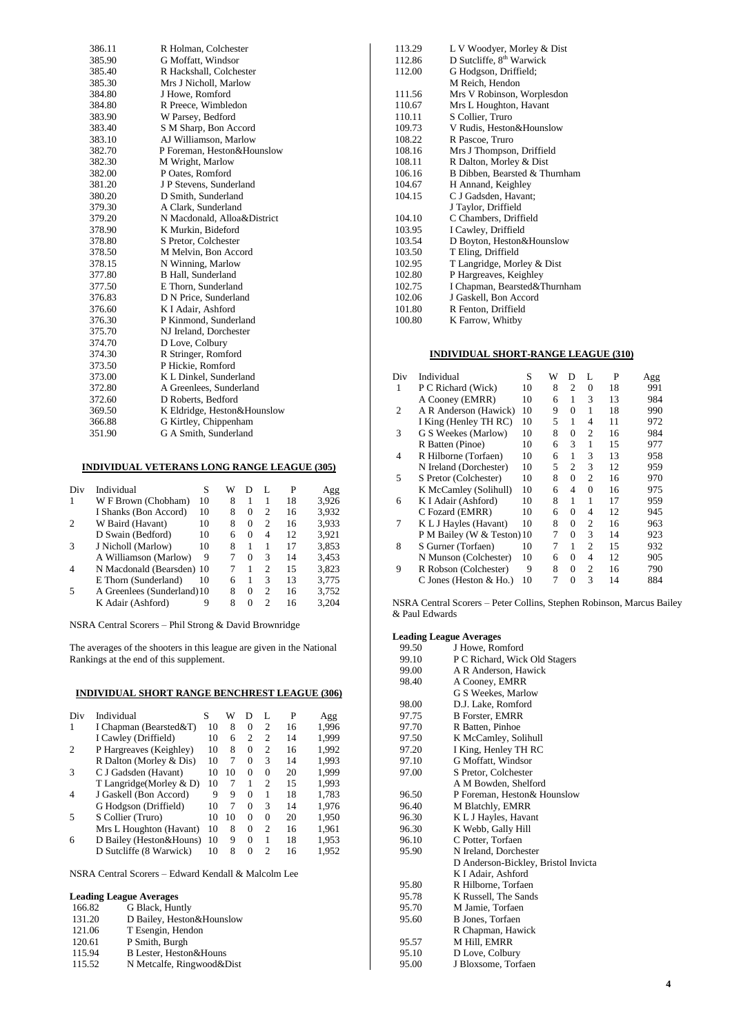| 386.11 | R Holman, Colchester        |
|--------|-----------------------------|
| 385.90 | G Moffatt, Windsor          |
| 385.40 | R Hackshall, Colchester     |
| 385.30 | Mrs J Nicholl, Marlow       |
| 384.80 | J Howe, Romford             |
| 384.80 | R Preece, Wimbledon         |
| 383.90 | W Parsey, Bedford           |
| 383.40 | S M Sharp, Bon Accord       |
| 383.10 | AJ Williamson, Marlow       |
| 382.70 | P Foreman, Heston&Hounslow  |
| 382.30 | M Wright, Marlow            |
| 382.00 | P Oates, Romford            |
| 381.20 | J P Stevens, Sunderland     |
| 380.20 | D Smith, Sunderland         |
| 379.30 | A Clark, Sunderland         |
| 379.20 | N Macdonald, Alloa&District |
| 378.90 | K Murkin, Bideford          |
| 378.80 | S Pretor, Colchester        |
| 378.50 | M Melvin, Bon Accord        |
| 378.15 | N Winning, Marlow           |
| 377.80 | <b>B</b> Hall, Sunderland   |
| 377.50 | E Thorn, Sunderland         |
| 376.83 | D N Price, Sunderland       |
| 376.60 | K I Adair, Ashford          |
| 376.30 | P Kinmond, Sunderland       |
| 375.70 | NJ Ireland, Dorchester      |
| 374.70 | D Love, Colbury             |
| 374.30 | R Stringer, Romford         |
| 373.50 | P Hickie, Romford           |
| 373.00 | K L Dinkel, Sunderland      |
| 372.80 | A Greenlees, Sunderland     |
| 372.60 | D Roberts, Bedford          |
| 369.50 | K Eldridge, Heston&Hounslow |
| 366.88 | G Kirtley, Chippenham       |
| 351.90 | G A Smith, Sunderland       |

#### **INDIVIDUAL VETERANS LONG RANGE LEAGUE (305)**

| Div            | Individual                  | S  | W | D        |   | P  | Agg   |
|----------------|-----------------------------|----|---|----------|---|----|-------|
|                | W F Brown (Chobham)         | 10 | 8 | 1        |   | 18 | 3,926 |
|                | I Shanks (Bon Accord)       | 10 | 8 | $\theta$ | 2 | 16 | 3,932 |
| $\overline{2}$ | W Baird (Havant)            | 10 | 8 | $\theta$ | 2 | 16 | 3,933 |
|                | D Swain (Bedford)           | 10 | 6 | $\Omega$ | 4 | 12 | 3,921 |
| 3              | J Nicholl (Marlow)          | 10 | 8 | 1        |   | 17 | 3.853 |
|                | A Williamson (Marlow)       | 9  |   | $\theta$ | 3 | 14 | 3,453 |
| $\overline{4}$ | N Macdonald (Bearsden) 10   |    |   | 1        | 2 | 15 | 3.823 |
|                | E Thorn (Sunderland)        | 10 | 6 | 1        | 3 | 13 | 3,775 |
| .5             | A Greenlees (Sunderland) 10 |    | 8 | $\theta$ | 2 | 16 | 3.752 |
|                | K Adair (Ashford)           | 9  | 8 | $\Omega$ | っ | 16 | 3.204 |

NSRA Central Scorers – Phil Strong & David Brownridge

The averages of the shooters in this league are given in the National Rankings at the end of this supplement.

### **INDIVIDUAL SHORT RANGE BENCHREST LEAGUE (306)**

| Div            | Individual              | S  | W  | D        | L              | P  | Agg   |
|----------------|-------------------------|----|----|----------|----------------|----|-------|
| 1              | I Chapman (Bearsted&T)  | 10 | 8  | $\Omega$ | $\overline{c}$ | 16 | 1,996 |
|                | I Cawley (Driffield)    | 10 | 6  | 2        | $\overline{c}$ | 14 | 1.999 |
| 2              | P Hargreaves (Keighley) | 10 | 8  | $\Omega$ | $\mathfrak{D}$ | 16 | 1,992 |
|                | R Dalton (Morley & Dis) | 10 | 7  | $\Omega$ | 3              | 14 | 1,993 |
| 3              | C J Gadsden (Havant)    | 10 | 10 | $\Omega$ | $\theta$       | 20 | 1,999 |
|                | T Langridge(Morley & D) | 10 | 7  | 1        | $\mathfrak{D}$ | 15 | 1,993 |
| $\overline{4}$ | J Gaskell (Bon Accord)  | 9  | 9  | $\Omega$ | 1              | 18 | 1,783 |
|                | G Hodgson (Driffield)   | 10 | 7  | $\Omega$ | 3              | 14 | 1,976 |
| 5              | S Collier (Truro)       | 10 | 10 | $\Omega$ | $\theta$       | 20 | 1,950 |
|                | Mrs L Houghton (Havant) | 10 | 8  | 0        | $\mathfrak{D}$ | 16 | 1,961 |
| 6              | D Bailey (Heston&Houns) | 10 | 9  | $\Omega$ | 1              | 18 | 1,953 |
|                | D Sutcliffe (8 Warwick) | 10 | 8  | $\Omega$ | $\mathcal{D}$  | 16 | 1,952 |
|                |                         |    |    |          |                |    |       |

NSRA Central Scorers – Edward Kendall & Malcolm Lee

### **Leading League Averages**

| 166.82 | G Black, Huntly           |
|--------|---------------------------|
| 131.20 | D Bailey, Heston&Hounslow |
| 121.06 | T Esengin, Hendon         |
| 120.61 | P Smith, Burgh            |
| 115.94 | B Lester, Heston&Houns    |
| 115.52 | N Metcalfe, Ringwood&Dist |

| 113.29 | L V Woodyer, Morley & Dist           |
|--------|--------------------------------------|
| 112.86 | D Sutcliffe, 8 <sup>th</sup> Warwick |
| 112.00 | G Hodgson, Driffield;                |
|        | M Reich, Hendon                      |
| 111.56 | Mrs V Robinson, Worplesdon           |
| 110.67 | Mrs L Houghton, Havant               |
| 110.11 | S Collier, Truro                     |
| 109.73 | V Rudis, Heston&Hounslow             |
| 108.22 | R Pascoe, Truro                      |
| 108.16 | Mrs J Thompson, Driffield            |
| 108.11 | R Dalton, Morley & Dist              |
| 106.16 | B Dibben, Bearsted & Thurnham        |
| 104.67 | H Annand, Keighley                   |
| 104.15 | C J Gadsden, Havant;                 |
|        | J Taylor, Driffield                  |
| 104.10 | C Chambers, Driffield                |
| 103.95 | I Cawley, Driffield                  |
| 103.54 | D Boyton, Heston&Hounslow            |
| 103.50 | T Eling, Driffield                   |
| 102.95 | T Langridge, Morley & Dist           |
| 102.80 | P Hargreaves, Keighley               |
| 102.75 | I Chapman, Bearsted&Thurnham         |
| 102.06 | J Gaskell, Bon Accord                |
| 101.80 | R Fenton, Driffield                  |
| 100.80 | K Farrow, Whitby                     |

#### **INDIVIDUAL SHORT-RANGE LEAGUE (310)**

| Div | Individual                 | S  | W | D              | L              | P  | Agg |
|-----|----------------------------|----|---|----------------|----------------|----|-----|
| 1   | P C Richard (Wick)         | 10 | 8 | $\mathfrak{D}$ | 0              | 18 | 991 |
|     | A Cooney (EMRR)            | 10 | 6 | 1              | 3              | 13 | 984 |
| 2   | A R Anderson (Hawick)      | 10 | 9 | $\theta$       | $\mathbf{1}$   | 18 | 990 |
|     | I King (Henley TH RC)      | 10 | 5 | 1              | 4              | 11 | 972 |
| 3   | G S Weekes (Marlow)        | 10 | 8 | 0              | $\overline{c}$ | 16 | 984 |
|     | R Batten (Pinoe)           | 10 | 6 | 3              | $\mathbf{1}$   | 15 | 977 |
| 4   | R Hilborne (Torfaen)       | 10 | 6 | 1              | 3              | 13 | 958 |
|     | N Ireland (Dorchester)     | 10 | 5 | $\overline{c}$ | 3              | 12 | 959 |
| 5   | S Pretor (Colchester)      | 10 | 8 | $\theta$       | $\overline{2}$ | 16 | 970 |
|     | K McCamley (Solihull)      | 10 | 6 | 4              | $\overline{0}$ | 16 | 975 |
| 6   | K I Adair (Ashford)        | 10 | 8 | 1              | 1              | 17 | 959 |
|     | C Fozard (EMRR)            | 10 | 6 | $\Omega$       | 4              | 12 | 945 |
| 7   | K L J Hayles (Havant)      | 10 | 8 | $\Omega$       | $\overline{c}$ | 16 | 963 |
|     | P M Bailey (W & Teston) 10 |    | 7 | $\Omega$       | 3              | 14 | 923 |
| 8   | S Gurner (Torfaen)         | 10 | 7 | 1              | 2              | 15 | 932 |
|     | N Munson (Colchester)      | 10 | 6 | $\Omega$       | 4              | 12 | 905 |
| 9   | R Robson (Colchester)      | 9  | 8 | 0              | $\overline{c}$ | 16 | 790 |
|     | C Jones (Heston $&$ Ho.)   | 10 | 7 | 0              | 3              | 14 | 884 |

NSRA Central Scorers – Peter Collins, Stephen Robinson, Marcus Bailey & Paul Edwards

| 99.50 | J Howe, Romford                     |
|-------|-------------------------------------|
| 99.10 | P C Richard, Wick Old Stagers       |
| 99.00 | A R Anderson, Hawick                |
| 98.40 | A Cooney, EMRR                      |
|       | G S Weekes, Marlow                  |
| 98.00 | D.J. Lake, Romford                  |
| 97.75 | <b>B</b> Forster, EMRR              |
| 97.70 | R Batten, Pinhoe                    |
| 97.50 | K McCamley, Solihull                |
| 97.20 | I King, Henley TH RC                |
| 97.10 | G Moffatt, Windsor                  |
| 97.00 | S Pretor, Colchester                |
|       | A M Bowden, Shelford                |
| 96.50 | P Foreman, Heston & Hounslow        |
| 96.40 | M Blatchly, EMRR                    |
| 96.30 | K L J Hayles, Havant                |
| 96.30 | K Webb, Gally Hill                  |
| 96.10 | C Potter, Torfaen                   |
| 95.90 | N Ireland, Dorchester               |
|       | D Anderson-Bickley, Bristol Invicta |
|       | K I Adair, Ashford                  |
| 95.80 | R Hilborne, Torfaen                 |
| 95.78 | K Russell, The Sands                |
| 95.70 | M Jamie, Torfaen                    |
| 95.60 | B Jones, Torfaen                    |
|       | R Chapman, Hawick                   |
| 95.57 | M Hill, EMRR                        |
| 95.10 | D Love, Colbury                     |
| 95.00 | J Bloxsome, Torfaen                 |
|       |                                     |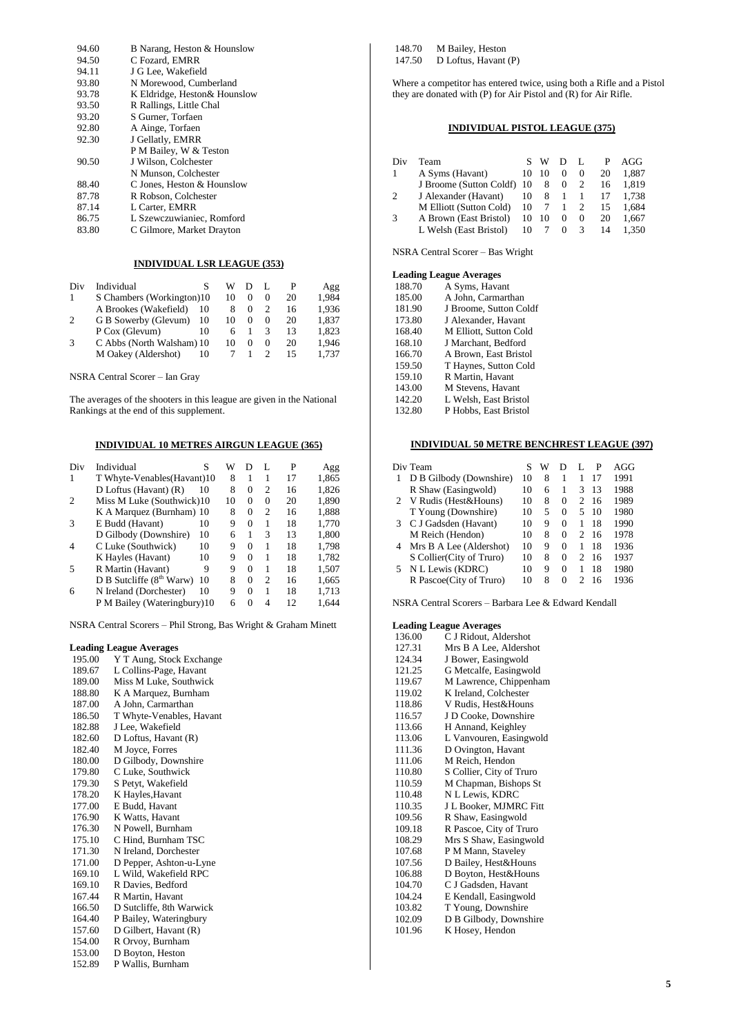| 94.60 | B Narang, Heston & Hounslow   |
|-------|-------------------------------|
| 94.50 | C Fozard, EMRR                |
| 94.11 | J G Lee. Wakefield            |
| 93.80 | N Morewood, Cumberland        |
| 93.78 | K Eldridge, Heston & Hounslow |
| 93.50 | R Rallings, Little Chal       |
| 93.20 | S Gurner, Torfaen             |
| 92.80 | A Ainge, Torfaen              |
| 92.30 | J Gellatly, EMRR              |
|       | P M Bailey, W & Teston        |
| 90.50 | J Wilson, Colchester          |
|       | N Munson, Colchester          |
| 88.40 | C Jones, Heston & Hounslow    |
| 87.78 | R Robson. Colchester          |
| 87.14 | L Carter, EMRR                |
| 86.75 | L Szewczuwianiec, Romford     |
| 83.80 | C Gilmore, Market Drayton     |
|       |                               |

#### **INDIVIDUAL LSR LEAGUE (353)**

| Div            | Individual                |    | w  |          |    | Agg   |
|----------------|---------------------------|----|----|----------|----|-------|
|                | S Chambers (Workington)10 |    | 10 | $\Omega$ | 20 | 1.984 |
|                | A Brookes (Wakefield)     | 10 |    |          | 16 | 1.936 |
| $\overline{2}$ | G B Sowerby (Glevum)      | 10 | 10 | $\theta$ | 20 | 1.837 |
|                | P Cox (Glevum)            | 10 |    | 3        | 13 | 1.823 |
| 3              | C Abbs (North Walsham) 10 |    | 10 | $\Omega$ | 20 | 1.946 |
|                | M Oakey (Aldershot)       | 10 |    |          | 15 | 1.737 |

NSRA Central Scorer – Ian Gray

The averages of the shooters in this league are given in the National Rankings at the end of this supplement.

#### **INDIVIDUAL 10 METRES AIRGUN LEAGUE (365)**

| Div            | Individual                           | S  | W  | Ð        | L              | P  | Agg   |
|----------------|--------------------------------------|----|----|----------|----------------|----|-------|
| 1              | T Whyte-Venables (Havant) 10         |    | 8  | 1        | 1              | 17 | 1,865 |
|                | $D$ Loftus (Havant) $(R)$            | 10 | 8  | $\Omega$ | $\overline{c}$ | 16 | 1,826 |
| $\overline{c}$ | Miss M Luke (Southwick)10            |    | 10 | $\Omega$ | $\theta$       | 20 | 1,890 |
|                | K A Marquez (Burnham) 10             |    | 8  | $\Omega$ | $\overline{c}$ | 16 | 1,888 |
| 3              | E Budd (Havant)                      | 10 | 9  | $\Omega$ | 1              | 18 | 1,770 |
|                | D Gilbody (Downshire)                | 10 | 6  | 1        | 3              | 13 | 1,800 |
| $\overline{4}$ | C Luke (Southwick)                   | 10 | 9  | $\Omega$ | 1              | 18 | 1,798 |
|                | K Hayles (Havant)                    | 10 | 9  | 0        | 1              | 18 | 1,782 |
| 5              | R Martin (Havant)                    | 9  | 9  | $\Omega$ | 1              | 18 | 1.507 |
|                | D B Sutcliffe (8 <sup>th</sup> Warw) | 10 | 8  | 0        | $\overline{c}$ | 16 | 1,665 |
| 6              | N Ireland (Dorchester)               | 10 | 9  | $\Omega$ | 1              | 18 | 1,713 |
|                | P M Bailey (Wateringbury)10          |    | 6  | 0        | 4              | 12 | 1,644 |

NSRA Central Scorers – Phil Strong, Bas Wright & Graham Minett

#### **Leading League Averages**

| 195.00 | Y T Aung, Stock Exchange |
|--------|--------------------------|
| 189.67 | L Collins-Page, Havant   |
| 189.00 | Miss M Luke, Southwick   |
| 188.80 | K A Marquez, Burnham     |
| 187.00 | A John, Carmarthan       |
| 186.50 | T Whyte-Venables, Havant |
| 182.88 | J Lee, Wakefield         |
| 182.60 | D Loftus, Havant (R)     |
| 182.40 | M Joyce, Forres          |
| 180.00 | D Gilbody, Downshire     |
| 179.80 | C Luke, Southwick        |
| 179.30 | S Petyt, Wakefield       |
| 178.20 | K Hayles, Havant         |
| 177.00 | E Budd, Havant           |
| 176.90 | K Watts, Havant          |
| 176.30 | N Powell, Burnham        |
| 175.10 | C Hind, Burnham TSC      |
| 171.30 | N Ireland, Dorchester    |
| 171.00 | D Pepper, Ashton-u-Lyne  |
| 169.10 | L Wild, Wakefield RPC    |
| 169.10 | R Davies, Bedford        |
| 167.44 | R Martin, Havant         |
| 166.50 | D Sutcliffe, 8th Warwick |
| 164.40 | P Bailey, Wateringbury   |
| 157.60 | D Gilbert, Havant (R)    |
| 154.00 | R Orvoy, Burnham         |
| 153.00 | D Boyton, Heston         |

152.89 P Wallis, Burnham

148.70 M Bailey, Heston<br>147.50 D Loftus, Havant D Loftus, Havant (P)

Where a competitor has entered twice, using both a Rifle and a Pistol they are donated with (P) for Air Pistol and (R) for Air Rifle.

### **INDIVIDUAL PISTOL LEAGUE (375)**

| Div | Team                       |    | w  | D        | $\mathbf{L}$  | P  | AGG   |
|-----|----------------------------|----|----|----------|---------------|----|-------|
| 1   | A Syms (Havant)            | 10 | 10 | $^{(1)}$ | $^{(1)}$      | 20 | 1.887 |
|     | J Broome (Sutton Coldf) 10 |    | 8  | 0        | 2             | 16 | 1.819 |
| 2   | J Alexander (Havant)       | 10 | 8  | - 1      | 1             |    | 1.738 |
|     | M Elliott (Sutton Cold)    | 10 |    |          | 2             | 15 | 1.684 |
| 3   | A Brown (East Bristol)     | 10 | 10 | $^{(1)}$ | $^{(1)}$      | 20 | 1.667 |
|     | L Welsh (East Bristol)     | 10 |    |          | $\mathcal{R}$ | 14 | 1.350 |
|     |                            |    |    |          |               |    |       |

NSRA Central Scorer – Bas Wright

#### **Leading League Averages**

| 188.70 | A Syms, Havant         |
|--------|------------------------|
| 185.00 | A John, Carmarthan     |
| 181.90 | J Broome, Sutton Coldf |
| 173.80 | J Alexander, Havant    |
| 168.40 | M Elliott, Sutton Cold |
| 168.10 | J Marchant, Bedford    |
| 166.70 | A Brown, East Bristol  |
| 159.50 | T Haynes, Sutton Cold  |
| 159.10 | R Martin, Havant       |
| 143.00 | M Stevens, Havant      |
| 142.20 | L Welsh, East Bristol  |
| 132.80 | P Hobbs, East Bristol  |
|        |                        |

#### **INDIVIDUAL 50 METRE BENCHREST LEAGUE (397)**

|    | Div Team                  | S  | w | D | L | P  | AGG  |
|----|---------------------------|----|---|---|---|----|------|
| 1  | D B Gilbody (Downshire)   | 10 | 8 | 1 | 1 | 17 | 1991 |
|    | R Shaw (Easingwold)       | 10 | 6 | 1 | 3 | 13 | 1988 |
| 2  | V Rudis (Hest&Houns)      | 10 | 8 | 0 | 2 | 16 | 1989 |
|    | T Young (Downshire)       | 10 | 5 | 0 | 5 | 10 | 1980 |
| 3  | C J Gadsden (Havant)      | 10 | 9 | 0 | 1 | 18 | 1990 |
|    | M Reich (Hendon)          | 10 | 8 | 0 | 2 | 16 | 1978 |
| 4  | Mrs B A Lee (Aldershot)   | 10 | 9 | 0 | 1 | 18 | 1936 |
|    | S Collier (City of Truro) | 10 | 8 | 0 | 2 | 16 | 1937 |
| 5. | N L Lewis (KDRC)          | 10 | 9 | 0 | 1 | 18 | 1980 |
|    | R Pascoe(City of Truro)   | 10 | 8 | 0 | 2 | 16 | 1936 |

NSRA Central Scorers – Barbara Lee & Edward Kendall

| 136.00 | C J Ridout, Aldershot    |
|--------|--------------------------|
| 127.31 | Mrs B A Lee, Aldershot   |
| 124.34 | J Bower, Easingwold      |
| 121.25 | G Metcalfe, Easingwold   |
| 119.67 | M Lawrence, Chippenham   |
| 119.02 | K Ireland, Colchester    |
| 118.86 | V Rudis, Hest&Houns      |
| 116.57 | J D Cooke, Downshire     |
| 113.66 | H Annand, Keighley       |
| 113.06 | L Vanvouren, Easingwold  |
| 111.36 | D Ovington, Havant       |
| 111.06 | M Reich, Hendon          |
| 110.80 | S Collier, City of Truro |
| 110.59 | M Chapman, Bishops St    |
| 110.48 | N L Lewis, KDRC          |
| 110.35 | J L Booker, MJMRC Fitt   |
| 109.56 | R Shaw, Easingwold       |
| 109.18 | R Pascoe, City of Truro  |
| 108.29 | Mrs S Shaw, Easingwold   |
| 107.68 | P M Mann, Staveley       |
| 107.56 | D Bailey, Hest&Houns     |
| 106.88 | D Boyton, Hest&Houns     |
| 104.70 | C J Gadsden, Havant      |
| 104.24 | E Kendall, Easingwold    |
| 103.82 | T Young, Downshire       |
| 102.09 | D B Gilbody, Downshire   |
| 101.96 | K Hosey, Hendon          |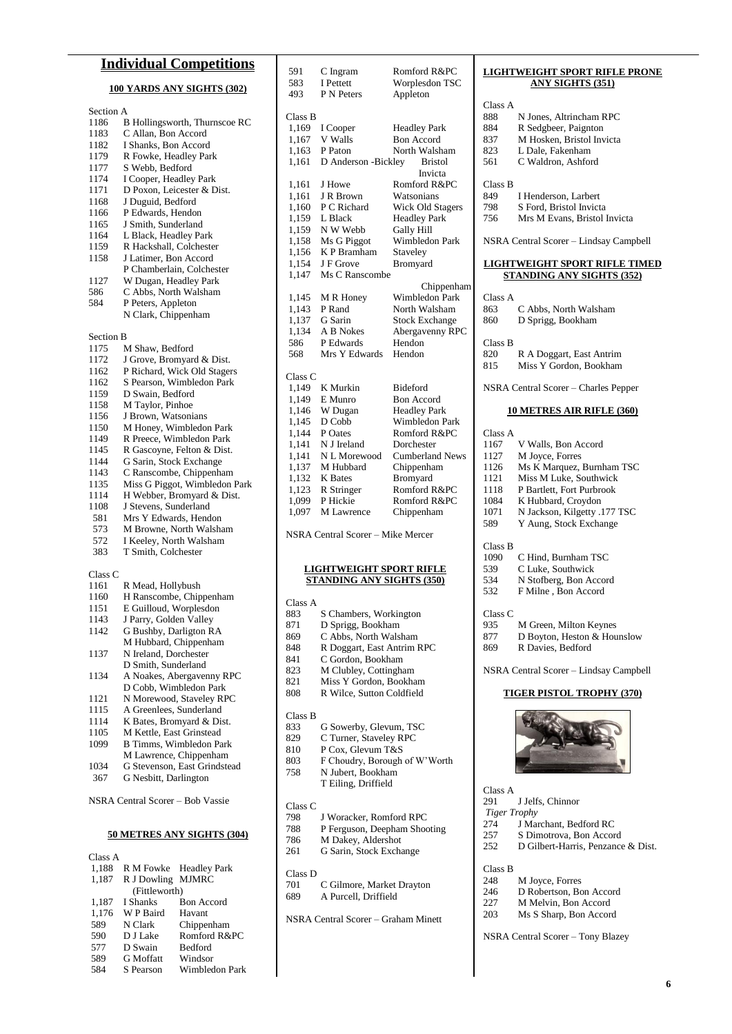### **Individual Competitions**

#### **100 YARDS ANY SIGHTS (302)**

| Section A |                                                          |
|-----------|----------------------------------------------------------|
| 1186      | B Hollingsworth, Thurnscoe RC                            |
| 1183      | C Allan, Bon Accord                                      |
| 1182      | I Shanks, Bon Accord                                     |
|           | R Fowke, Headley Park                                    |
| 1179      |                                                          |
| 1177      | S Webb, Bedford                                          |
| 1174      | I Cooper, Headley Park                                   |
| 1171      | D Poxon, Leicester & Dist.                               |
| 1168      | J Duguid, Bedford                                        |
| 1166      | P Edwards, Hendon                                        |
| 1165      | J Smith, Sunderland                                      |
| 1164      | L Black, Headley Park                                    |
| 1159      | R Hackshall, Colchester                                  |
| 1158      | J Latimer, Bon Accord                                    |
|           | P Chamberlain, Colchester                                |
| 1127      | W Dugan, Headley Park                                    |
| 586       | C Abbs, North Walsham                                    |
| 584       | P Peters, Appleton                                       |
|           | N Clark, Chippenham                                      |
|           |                                                          |
| Section B |                                                          |
| 1175      | M Shaw, Bedford                                          |
|           |                                                          |
| 1172      | J Grove, Bromyard & Dist.                                |
| 1162      | P Richard, Wick Old Stagers<br>S Pearson, Wimbledon Park |
| 1162      |                                                          |
| 1159      | D Swain, Bedford                                         |
| 1158      | M Taylor, Pinhoe                                         |
| 1156      | J Brown, Watsonians<br>M Honey, Wimbledon Park           |
| 1150      |                                                          |
| 1149      | R Preece, Wimbledon Park                                 |
| 1145      | R Gascoyne, Felton & Dist.                               |
| 1144      | G Sarin, Stock Exchange                                  |
| 1143      | C Ranscombe, Chippenham                                  |
| 1135      | Miss G Piggot, Wimbledon Park                            |
| 1114      | H Webber, Bromyard & Dist.                               |
| 1108      | J Stevens, Sunderland                                    |
| 581       | Mrs Y Edwards, Hendon                                    |
| 573       | M Browne, North Walsham                                  |
|           |                                                          |
| 572       | I Keeley, North Walsham                                  |
| 383       | T Smith, Colchester                                      |
|           |                                                          |
| Class C   |                                                          |
| 1161      | R Mead, Hollybush                                        |
| 1160      | H Ranscombe, Chippenham                                  |
| 1151      | E Guilloud, Worplesdon                                   |
| 1143      | J Parry, Golden Valley                                   |
| 1142      | G Bushby, Darligton RA                                   |
|           | M Hubbard, Chippenham                                    |
| 1137      | N Ireland, Dorchester                                    |
|           | D Smith, Sunderland                                      |
| 1134      | A Noakes, Abergavenny RPC                                |
|           | D Cobb, Wimbledon Park                                   |
| 1121      | N Morewood, Staveley RPC                                 |
| 1115      | A Greenlees, Sunderland                                  |
| 1114      | K Bates, Bromyard & Dist.                                |
|           |                                                          |

- 1105 M Kettle, East Grinstead<br>1099 B Timms, Wimbledon Pa B Timms, Wimbledon Park M Lawrence, Chippenham
- 1034 G Stevenson, East Grindstead
- 367 G Nesbitt, Darlington

NSRA Central Scorer – Bob Vassie

#### **50 METRES ANY SIGHTS (304)**

|                   | R M Fowke Headley Park |
|-------------------|------------------------|
| R J Dowling MJMRC |                        |
| (Fittleworth)     |                        |
| I Shanks          | <b>Bon Accord</b>      |
| W P Baird         | Havant                 |
| N Clark           | Chippenham             |
| D J Lake          | Romford R&PC           |
| D Swain           | <b>Bedford</b>         |
| <b>G</b> Moffatt  | Windsor                |
| S Pearson         | Wimbledon Park         |
|                   |                        |

| 591                | C Ingram            | Romford R&PC            |
|--------------------|---------------------|-------------------------|
| 583                | I Pettett           | Worplesdon TSC          |
| 493                | <b>P</b> N Peters   | Appleton                |
| Class B            |                     |                         |
| 1,169              | I Cooper            | <b>Headley Park</b>     |
| 1,167              | V Walls             | <b>Bon Accord</b>       |
| 1,163              | P Paton             | North Walsham           |
| 1,161              | D Anderson -Bickley | <b>Bristol</b>          |
|                    |                     | Invicta                 |
| 1,161              | J Howe              | Romford R&PC            |
| 1,161              | J R Brown           | Watsonians              |
| 1,160              | P C Richard         | <b>Wick Old Stagers</b> |
| 1,159              | L Black             | <b>Headley Park</b>     |
| 1,159              | N W Webb            | Gally Hill              |
| 1,158              | Ms G Piggot         | Wimbledon Park          |
| 1,156              | K P Bramham         | Staveley                |
| 1,154              | J F Grove           | Bromyard                |
| 1.147              | Ms C Ranscombe      |                         |
|                    |                     | Chippenham              |
| 1,145              | M R Honey           | <b>Wimbledon Park</b>   |
| 1,143              | P Rand              | North Walsham           |
| 1,137              | G Sarin             | <b>Stock Exchange</b>   |
| 1,134              | A B Nokes           | Abergavenny RPC         |
| 586                | P Edwards           | Hendon                  |
| 568                | Mrs Y Edwards       | Hendon                  |
| Class <sub>C</sub> |                     |                         |
| 1,149              | K Murkin            | Bideford                |
| 1,149              | E Munro             | <b>Bon Accord</b>       |
| 1,146              | W Dugan             | <b>Headley Park</b>     |
| 1,145              | D Cobb              | <b>Wimbledon Park</b>   |
| 1,144              | P Oates             | Romford R&PC            |
| 1,141              | N J Ireland         | Dorchester              |
| 1,141              | N L Morewood        | Cumberland News         |
| 1,137              | M Hubbard           | Chippenham              |
| 1,132              | <b>K</b> Bates      | Bromyard                |
| 1,123              | R Stringer          | Romford R&PC            |
| 1,099              | P Hickie            | Romford R&PC            |
| 1,097              | M Lawrence          | Chippenham              |
|                    |                     |                         |

NSRA Central Scorer – Mike Mercer

#### **LIGHTWEIGHT SPORT RIFLE STANDING ANY SIGHTS (350)**

| Class A    |                                       |
|------------|---------------------------------------|
| 883        | S Chambers, Workington                |
| 871        | D Sprigg, Bookham                     |
| 869        | C Abbs, North Walsham                 |
| 848        | R Doggart, East Antrim RPC            |
| 841        | C Gordon, Bookham                     |
| 823        | M Clubley, Cottingham                 |
| 821        | Miss Y Gordon, Bookham                |
| 808        | R Wilce, Sutton Coldfield             |
|            |                                       |
| Class B    |                                       |
| 833        | G Sowerby, Glevum, TSC                |
| 829        | C Turner, Staveley RPC                |
| 810        | P Cox. Glevum T&S                     |
| $\circ$ 02 | $\Gamma$ Chaudry, Daraugh of $W^iW^j$ |

- 803 F Choudry, Borough of W'Worth<br>758 N Jubert, Bookham
	- N Jubert, Bookham T Eiling, Driffield

- Class C 798 J Woracker, Romford RPC<br>788 P Ferguson, Deepham Shoo
- P Ferguson, Deepham Shooting
- 786 M Dakey, Aldershot<br>261 G Sarin, Stock Excha
- G Sarin, Stock Exchange

#### Class D

701 C Gilmore, Market Drayton<br>689 A Purcell, Driffield A Purcell, Driffield

NSRA Central Scorer – Graham Minett

#### **LIGHTWEIGHT SPORT RIFLE PRONE ANY SIGHTS (351)**

| Class A |                                        |
|---------|----------------------------------------|
| 888     | N Jones, Altrincham RPC                |
|         |                                        |
| 884     | R Sedgbeer, Paignton                   |
| 837     | M Hosken, Bristol Invicta              |
| 823     | L Dale, Fakenham                       |
| 561     | C Waldron, Ashford                     |
| Class B |                                        |
|         |                                        |
| 849     | I Henderson, Larbert                   |
| 798     | S Ford, Bristol Invicta                |
| 756     | Mrs M Evans, Bristol Invicta           |
|         | NSRA Central Scorer - Lindsay Campbell |
|         | <b>LIGHTWEIGHT SPORT RIFLE TIMED</b>   |
|         | <b>STANDING ANY SIGHTS (352)</b>       |
|         |                                        |
| Class A |                                        |
| 863     | C Abbs, North Walsham                  |
| 860     | D Sprigg, Bookham                      |
|         |                                        |
| Class B |                                        |
| 820     | R A Doggart, East Antrim               |
| 815     | Miss Y Gordon, Bookham                 |
|         | NSRA Central Scorer - Charles Pepper   |
|         |                                        |
|         | <u>10 METRES AIR RIFLE (360)</u>       |
| Class A |                                        |
| 1167    | V Walls, Bon Accord                    |
| 1127    | M Joyce, Forres                        |
| 1126    | Ms K Marquez, Burnham TSC              |
| 1121    | Miss M Luke, Southwick                 |
| 1118    | P Bartlett, Fort Purbrook              |
|         |                                        |
| 1084    | K Hubbard, Croydon                     |
| 1071    | N Jackson, Kilgetty .177 TSC           |
| 589     | Y Aung, Stock Exchange                 |
| Class B |                                        |
| 1090    | C Hind, Burnham TSC                    |
| 539     | C Luke, Southwick                      |
| 534     | N Stofberg, Bon Accord                 |
| 532     | F Milne, Bon Accord                    |
|         |                                        |
| Class C |                                        |
| 935     | M Green, Milton Keynes                 |
| 877     | D Boyton, Heston & Hounslow            |
| 869     | R Davies, Bedford                      |
|         |                                        |
|         | NSRA Central Scorer - Lindsay Campbell |
|         | <b>TIGER PISTOL TROPHY (370)</b>       |
|         |                                        |

Class A

J Jelfs, Chinnor

- *Tiger Trophy*
- 274 J Marchant, Bedford RC<br>257 S Dimotrova, Bon Accor
- 257 S Dimotrova, Bon Accord<br>252 D Gilbert-Harris, Penzance
	- D Gilbert-Harris, Penzance & Dist.

Class B

- 
- 248 M Joyce, Forres<br>246 D Robertson, Bo 246 D Robertson, Bon Accord<br>227 M Melvin, Bon Accord
- 227 M Melvin, Bon Accord<br>203 Ms S Sharp, Bon Accord
	- Ms S Sharp, Bon Accord

NSRA Central Scorer – Tony Blazey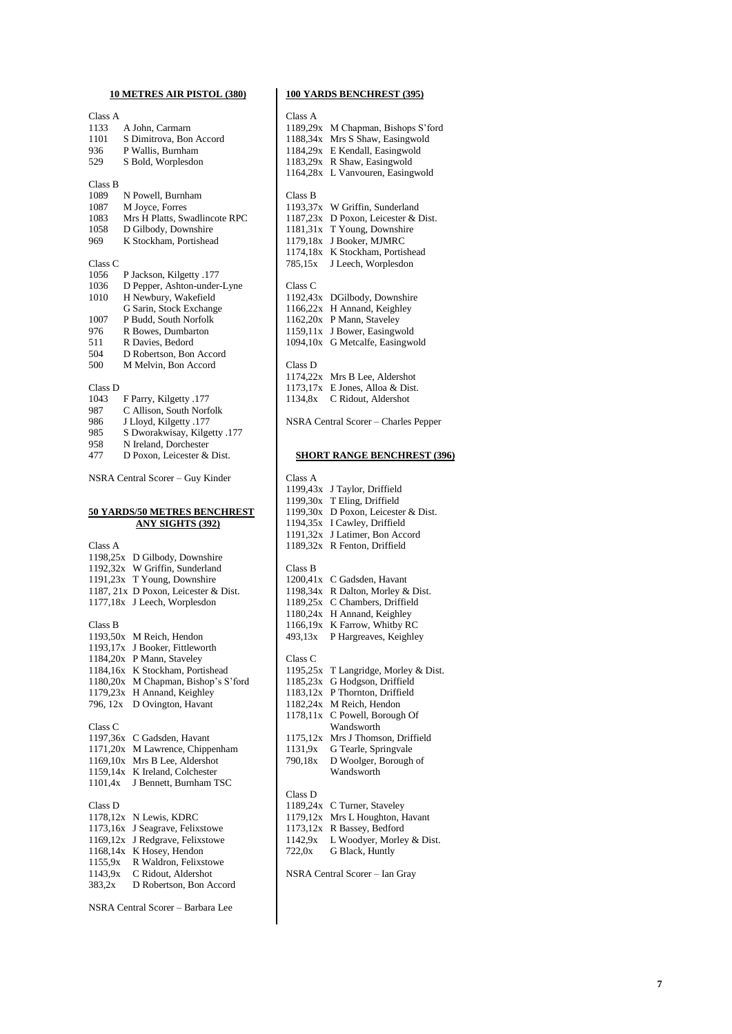### **10 METRES AIR PISTOL (380)**

| Class A              |                                                |
|----------------------|------------------------------------------------|
| 1133                 | A John, Carmarn                                |
| 1101                 | S Dimitrova, Bon Accord                        |
| 936                  | P Wallis, Burnham                              |
| 529                  | S Bold, Worplesdon                             |
|                      |                                                |
| Class B              |                                                |
| 1089                 | N Powell, Burnham                              |
| 1087                 | M Joyce, Forres                                |
| 1083                 | Mrs H Platts, Swadlincote RPC                  |
| 1058                 | D Gilbody, Downshire                           |
| 969                  | K Stockham, Portishead                         |
|                      |                                                |
| Class C              |                                                |
| 1056                 | P Jackson, Kilgetty .177                       |
| 1036                 | D Pepper, Ashton-under-Lyne                    |
| 1010                 | H Newbury, Wakefield                           |
|                      | G Sarin, Stock Exchange                        |
| 1007                 | P Budd, South Norfolk                          |
| 976                  | R Bowes, Dumbarton                             |
| 511                  | R Davies, Bedord                               |
| 504                  | D Robertson, Bon Accord                        |
| 500                  | M Melvin, Bon Accord                           |
|                      |                                                |
| Class D              |                                                |
| 1043                 | F Parry, Kilgetty .177                         |
| 987                  | C Allison, South Norfolk                       |
| 986                  | J Lloyd, Kilgetty .177                         |
| 985                  | S Dworakwisay, Kilgetty .177                   |
| 958                  | N Ireland, Dorchester                          |
| 477                  | D Poxon, Leicester & Dist.                     |
|                      | NSRA Central Scorer - Guy Kinder               |
|                      |                                                |
|                      | <u>50 YARDS/50 METRES BENCHREST</u>            |
|                      | <b>ANY SIGHTS (392)</b>                        |
|                      |                                                |
| Class A              |                                                |
| 1198,25x             | D Gilbody, Downshire                           |
| 1192,32x             | W Griffin, Sunderland                          |
| 1191,23x             | T Young, Downshire                             |
| 1187, 21x            | D Poxon, Leicester & Dist.                     |
| 1177,18x             | J Leech, Worplesdon                            |
| Class B              |                                                |
|                      | M Reich, Hendon                                |
| 1193,50x<br>1193,17x | J Booker, Fittleworth                          |
|                      |                                                |
| 1184,20x<br>1184,16x | P Mann, Staveley                               |
| 1180,20x             | K Stockham, Portishead                         |
| 1179,23x             | M Chapman, Bishop's S'ford                     |
| 796, 12x             | H Annand, Keighley<br>D Ovington, Havant       |
|                      |                                                |
| Class C              |                                                |
| 1197,36x             | C Gadsden, Havant                              |
| 1171,20x             | M Lawrence, Chippenham                         |
| 1169,10x             | Mrs B Lee, Aldershot                           |
| 1159,14x             | K Ireland, Colchester                          |
| 1101,4x              | J Bennett, Burnham TSC                         |
|                      |                                                |
| Class D              |                                                |
| 1178,12x             | N Lewis, KDRC                                  |
| 1173,16x             | J Seagrave, Felixstowe                         |
| 1169,12x             | J Redgrave, Felixstowe                         |
| 1168,14x             | K Hosey, Hendon                                |
| 1155,9x              | R Waldron, Felixstowe                          |
| 1143,9x<br>383,2x    | C Ridout, Aldershot<br>D Robertson, Bon Accord |

### **100 YARDS BENCHREST (395)**

| Class A            |                                      |
|--------------------|--------------------------------------|
| 1189,29x           | M Chapman, Bishops S'ford            |
| 1188,34x           | Mrs S Shaw, Easingwold               |
| 1184,29x           | E Kendall, Easingwold                |
| 1183,29x           | R Shaw, Easingwold                   |
| 1164,28x           | L Vanvouren, Easingwold              |
|                    |                                      |
| Class B            |                                      |
| 1193,37x           | W Griffin, Sunderland                |
| 1187,23x           | D Poxon, Leicester & Dist.           |
| 1181,31x           | T Young, Downshire                   |
| 1179,18x           | J Booker, MJMRC                      |
| 1174,18x           | K Stockham, Portishead               |
| 785,15x            | J Leech, Worplesdon                  |
| Class <sub>C</sub> |                                      |
| 1192,43x           | DGilbody, Downshire                  |
| 1166,22x           | H Annand, Keighley                   |
| 1162,20x           | P Mann, Staveley                     |
| 1159,11x           | J Bower, Easingwold                  |
| 1094,10x           | G Metcalfe, Easingwold               |
|                    |                                      |
| Class D            |                                      |
| 1174,22x           | Mrs B Lee, Aldershot                 |
| 1173,17x           | E Jones, Alloa & Dist.               |
| 1134,8x            | C Ridout, Aldershot                  |
|                    | NSRA Central Scorer - Charles Pepper |
|                    |                                      |
|                    | <b>SHORT RANGE BENCHREST (396)</b>   |
| Class A            |                                      |
| 1199,43x           | J Taylor, Driffield                  |
| 1199,30x           | T Eling, Driffield                   |
| 1199,30x           | D Poxon, Leicester & Dist.           |
| 1194,35x           | I Cawley, Driffield                  |
| 1191,32x           | J Latimer, Bon Accord                |
| 1189,32x           | R Fenton, Driffield                  |
|                    |                                      |
| Class B            |                                      |

| 1200,41x | C Gadsden, Havant              |
|----------|--------------------------------|
| 1198,34x | R Dalton, Morley & Dist.       |
| 1189,25x | C Chambers, Driffield          |
| 1180,24x | H Annand, Keighley             |
| 1166,19x | K Farrow, Whitby RC            |
| 493,13x  | P Hargreaves, Keighley         |
| Class C  |                                |
| 1195,25x | T Langridge, Morley & Dist.    |
| 1185,23x | G Hodgson, Driffield           |
| 1183,12x | P Thornton, Driffield          |
| 1182,24x | M Reich, Hendon                |
| 1178,11x | C Powell, Borough Of           |
|          | Wandsworth                     |
| 1175,12x | Mrs J Thomson, Driffield       |
| 1131,9x  | G Tearle, Springvale           |
| 790,18x  | D Woolger, Borough of          |
|          | Wandsworth                     |
| Class D  |                                |
| 1189,24x | C Turner, Staveley             |
| 1179,12x | Mrs L Houghton, Havant         |
| 1173,12x | R Bassey, Bedford              |
| 1142,9x  | L Woodyer, Morley & Dist.      |
| 722,0x   | G Black, Huntly                |
|          | NSRA Central Scorer - Ian Gray |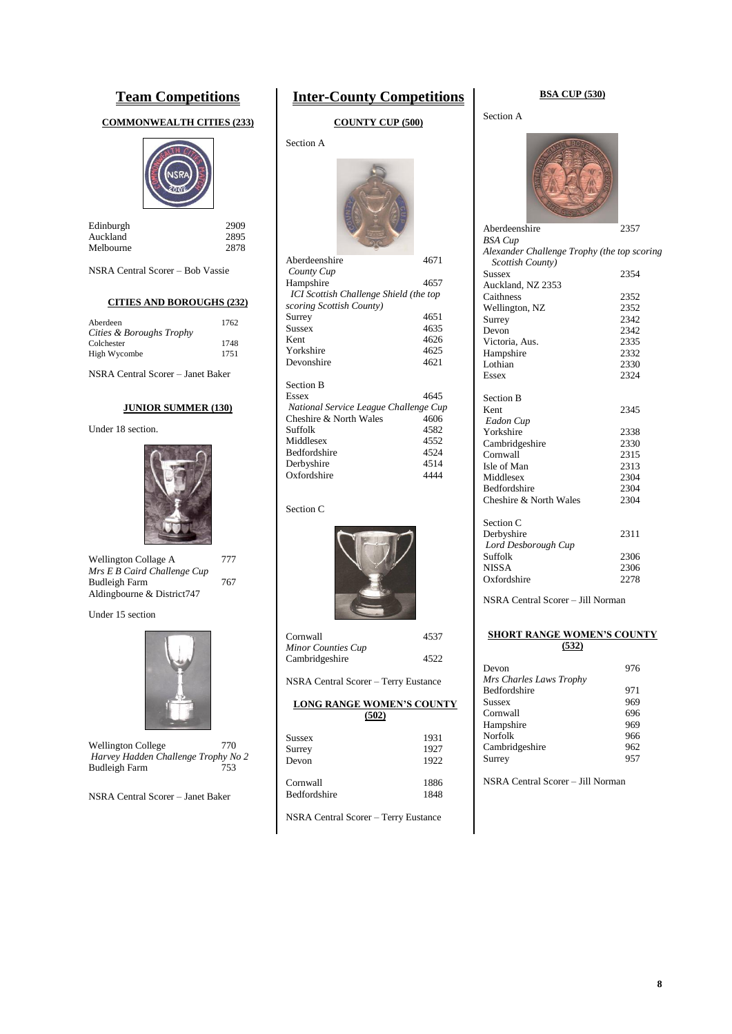### **Team Competitions**

#### **COMMONWEALTH CITIES (233)**



| Edinburgh | 2909 |
|-----------|------|
| Auckland  | 2895 |
| Melbourne | 2878 |

NSRA Central Scorer – Bob Vassie

#### **CITIES AND BOROUGHS (232)**

| Aberdeen                 | 1762 |
|--------------------------|------|
| Cities & Boroughs Trophy |      |
| Colchester               | 1748 |
| High Wycombe             | 1751 |

NSRA Central Scorer – Janet Baker

### **JUNIOR SUMMER (130)**

#### Under 18 section.



| Wellington Collage A        | 777 |
|-----------------------------|-----|
| Mrs E B Caird Challenge Cup |     |
| Budleigh Farm               | 767 |
| Aldingbourne & District747  |     |

#### Under 15 section



Wellington College 770 *Harvey Hadden Challenge Trophy No 2* Budleigh Farm 753

NSRA Central Scorer – Janet Baker

### **Inter-County Competitions**

#### **COUNTY CUP (500)**

#### Section A



| Aberdeenshire                          | 4671 |
|----------------------------------------|------|
| County Cup                             |      |
| Hampshire                              | 4657 |
| ICI Scottish Challenge Shield (the top |      |
| scoring Scottish County)               |      |
| Surrey                                 | 4651 |
| <b>Sussex</b>                          | 4635 |
| Kent                                   | 4626 |
| Yorkshire                              | 4625 |
| Devonshire                             | 4621 |
|                                        |      |
| <b>Section B</b>                       |      |
| Essex                                  | 4645 |
| National Service League Challenge Cup  |      |
| Cheshire & North Wales                 | 4606 |
|                                        |      |
| Suffolk                                | 4582 |
| Middlesex                              | 4552 |
| <b>Bedfordshire</b>                    | 4524 |
| Derbyshire                             | 4514 |

#### Section C



| Cornwall           | 4537 |
|--------------------|------|
| Minor Counties Cup |      |
| Cambridgeshire     | 4522 |

NSRA Central Scorer – Terry Eustance

#### **LONG RANGE WOMEN'S COUNTY (502)**

| <b>Sussex</b>       | 1931 |
|---------------------|------|
| Surrey              | 1927 |
| Devon               | 1922 |
| Cornwall            | 1886 |
| <b>Bedfordshire</b> | 1848 |

NSRA Central Scorer – Terry Eustance

#### **BSA CUP (530)**

Section A



| BSA Cup                                     |      |
|---------------------------------------------|------|
| Alexander Challenge Trophy (the top scoring |      |
| Scottish County)                            |      |
| <b>Sussex</b>                               | 2354 |
| Auckland, NZ 2353                           |      |
| Caithness                                   | 2352 |
| Wellington, NZ                              | 2352 |
| Surrey                                      | 2342 |
| Devon                                       | 2342 |
| Victoria, Aus.                              | 2335 |
| Hampshire                                   | 2332 |
| Lothian                                     | 2330 |
| <b>Essex</b>                                | 2324 |
|                                             |      |
| <b>Section B</b>                            |      |
| Kent                                        | 2345 |
| Eadon Cup                                   |      |
| Yorkshire                                   | 2338 |
| Cambridgeshire                              | 2330 |
| Cornwall                                    | 2315 |
| Isle of Man                                 | 2313 |
| Middlesex                                   | 2304 |
| <b>Bedfordshire</b>                         | 2304 |
| Cheshire & North Wales                      | 2304 |
| Section C                                   |      |
| Derbyshire                                  | 2311 |
| Lord Desborough Cup                         |      |
| Suffolk                                     | 2306 |
| <b>NISSA</b>                                | 2306 |
| Oxfordshire                                 | 2278 |
|                                             |      |

NSRA Central Scorer – Jill Norman

#### **SHORT RANGE WOMEN'S COUNTY (532)**

| Devon                   | 976 |
|-------------------------|-----|
| Mrs Charles Laws Trophy |     |
| <b>Bedfordshire</b>     | 971 |
| Sussex                  | 969 |
| Cornwall                | 696 |
| Hampshire               | 969 |
| <b>Norfolk</b>          | 966 |
| Cambridgeshire          | 962 |
| Surrey                  | 957 |

NSRA Central Scorer – Jill Norman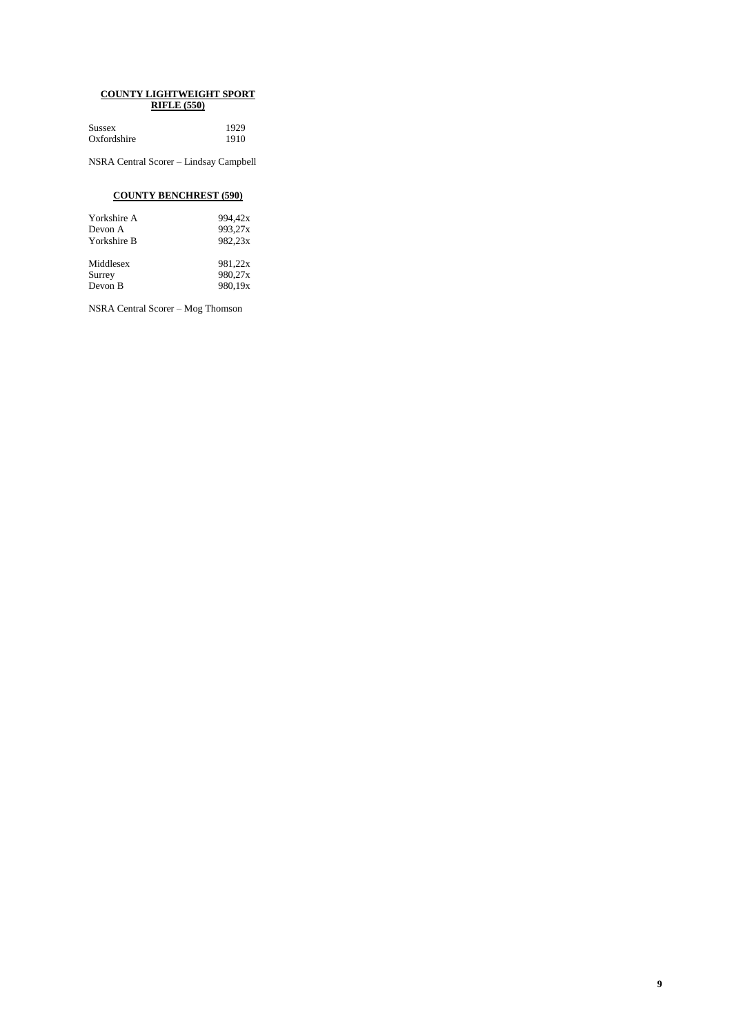#### **COUNTY LIGHTWEIGHT SPORT RIFLE (550)**

| Sussex      | 1929 |
|-------------|------|
| Oxfordshire | 1910 |

NSRA Central Scorer – Lindsay Campbell

### **COUNTY BENCHREST (590)**

| Yorkshire A | 994.42x |
|-------------|---------|
| Devon A     | 993.27x |
| Yorkshire B | 982.23x |
| Middlesex   | 981.22x |
| Surrey      | 980.27x |
| Devon B     | 980.19x |

NSRA Central Scorer – Mog Thomson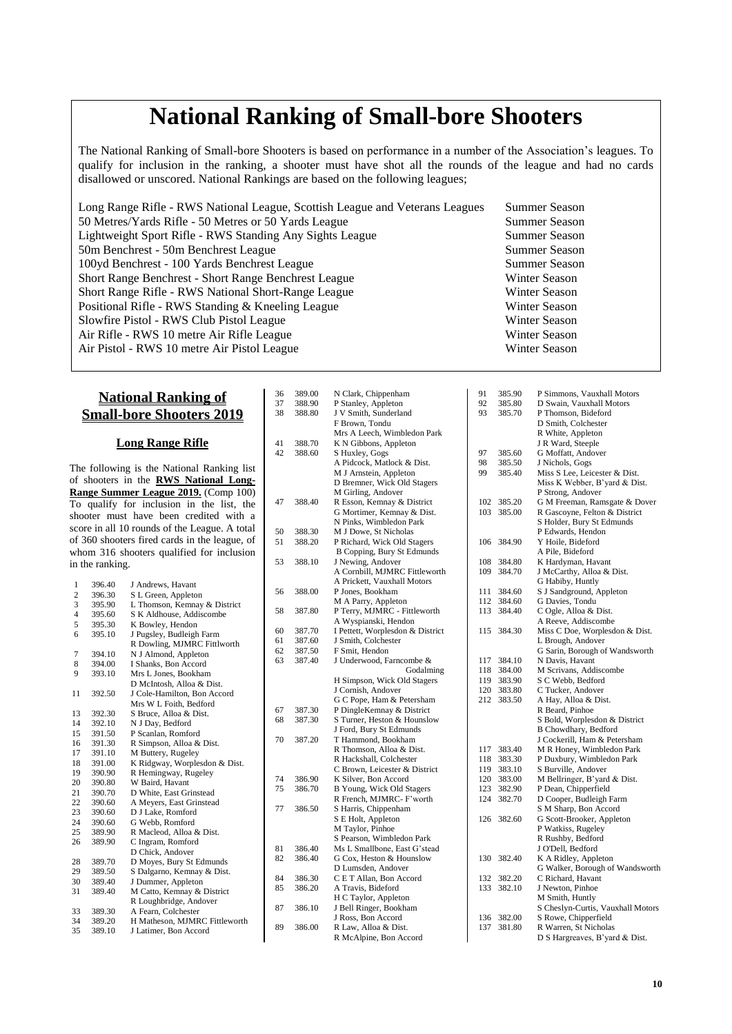# **National Ranking of Small-bore Shooters**

The National Ranking of Small-bore Shooters is based on performance in a number of the Association's leagues. To qualify for inclusion in the ranking, a shooter must have shot all the rounds of the league and had no cards disallowed or unscored. National Rankings are based on the following leagues;

Long Range Rifle - RWS National League, Scottish League and Veterans Leagues Summer Season 50 Metres/Yards Rifle - 50 Metres or 50 Yards League Summer Season Lightweight Sport Rifle - RWS Standing Any Sights League Summer Season 50m Benchrest - 50m Benchrest League Summer Season 100yd Benchrest - 100 Yards Benchrest League Summer Season Short Range Benchrest - Short Range Benchrest League Winter Season Short Range Rifle - RWS National Short-Range League New York Charles Winter Season Positional Rifle - RWS Standing & Kneeling League Winter Season Slowfire Pistol - RWS Club Pistol League Winter Season Air Rifle - RWS 10 metre Air Rifle League Winter Season Air Pistol - RWS 10 metre Air Pistol League Winter Season

### **National Ranking of Small-bore Shooters 2019**

#### **Long Range Rifle**

The following is the National Ranking list of shooters in the **RWS National Long-Range Summer League 2019.** (Comp 100) To qualify for inclusion in the list, the shooter must have been credited with a score in all 10 rounds of the League. A total of 360 shooters fired cards in the league, of whom 316 shooters qualified for inclusion in the ranking.

| 1              | 396.40 | J Andrews, Havant             |
|----------------|--------|-------------------------------|
| $\overline{2}$ | 396.30 | S L Green, Appleton           |
| 3              | 395.90 | L Thomson, Kemnay & District  |
| $\overline{4}$ | 395.60 | S K Aldhouse, Addiscombe      |
| 5              | 395.30 | K Bowley, Hendon              |
| 6              | 395.10 | J Pugsley, Budleigh Farm      |
|                |        | R Dowling, MJMRC Fittlworth   |
| 7              | 394.10 | N J Almond, Appleton          |
| 8              | 394.00 | I Shanks, Bon Accord          |
| 9              | 393.10 | Mrs L Jones, Bookham          |
|                |        | D McIntosh, Alloa & Dist.     |
| 11             | 392.50 | J Cole-Hamilton, Bon Accord   |
|                |        | Mrs W L Foith, Bedford        |
| 13             | 392.30 | S Bruce, Alloa & Dist.        |
| 14             | 392.10 | N J Day, Bedford              |
| 15             | 391.50 | P Scanlan, Romford            |
| 16             | 391.30 | R Simpson, Alloa & Dist.      |
| 17             | 391.10 | M Buttery, Rugeley            |
| 18             | 391.00 | K Ridgway, Worplesdon & Dist. |
| 19             | 390.90 | R Hemingway, Rugeley          |
| 20             | 390.80 | W Baird, Havant               |
| 21             | 390.70 | D White, East Grinstead       |
| 22             | 390.60 | A Meyers, East Grinstead      |
| 23             | 390.60 | D J Lake, Romford             |
| 24             | 390.60 | G Webb, Romford               |
| 25             | 389.90 | R Macleod, Alloa & Dist.      |
| 26             | 389.90 | C Ingram, Romford             |
|                |        | D Chick, Andover              |
| 28             | 389.70 | D Moyes, Bury St Edmunds      |
| 29             | 389.50 | S Dalgarno, Kemnay & Dist.    |
| 30             | 389.40 | J Dummer, Appleton            |
| 31             | 389.40 | M Catto, Kemnay & District    |
|                |        | R Loughbridge, Andover        |
| 33             | 389.30 | A Fearn, Colchester           |
| 34             | 389.20 | H Matheson, MJMRC Fittleworth |
| 35             | 389.10 | J Latimer, Bon Accord         |

| 36 | 389.00 | N Clark, Chippenham                            |
|----|--------|------------------------------------------------|
| 37 | 388.90 | P Stanley, Appleton                            |
| 38 | 388.80 | J V Smith, Sunderland                          |
|    |        | F Brown, Tondu                                 |
|    |        | Mrs A Leech, Wimbledon Park                    |
| 41 | 388.70 | K N Gibbons, Appleton                          |
| 42 | 388.60 |                                                |
|    |        | S Huxley, Gogs                                 |
|    |        | A Pidcock, Matlock & Dist.                     |
|    |        | M J Arnstein, Appleton                         |
|    |        | D Bremner, Wick Old Stagers                    |
|    |        | M Girling, Andover                             |
| 47 | 388.40 | R Esson, Kemnay & District                     |
|    |        | G Mortimer, Kemnay & Dist.                     |
|    |        | N Pinks, Wimbledon Park                        |
| 50 | 388.30 | M J Dowe, St Nicholas                          |
| 51 | 388.20 | P Richard, Wick Old Stagers                    |
|    |        | B Copping, Bury St Edmunds                     |
| 53 | 388.10 | J Newing, Andover                              |
|    |        | A Cornbill, MJMRC Fittleworth                  |
|    |        | A Prickett, Vauxhall Motors                    |
| 56 | 388.00 | P Jones, Bookham                               |
|    |        | M A Parry, Appleton                            |
| 58 | 387.80 | P Terry, MJMRC - Fittleworth                   |
|    |        | A Wyspianski, Hendon                           |
| 60 | 387.70 | I Pettett, Worplesdon & District               |
| 61 | 387.60 | J Smith, Colchester                            |
| 62 | 387.50 | F Smit, Hendon                                 |
| 63 | 387.40 | J Underwood, Farncombe &                       |
|    |        | Godalming                                      |
|    |        | H Simpson, Wick Old Stagers                    |
|    |        | J Cornish, Andover                             |
|    |        | G C Pope, Ham & Petersham                      |
| 67 | 387.30 | P DingleKemnay & District                      |
| 68 | 387.30 | S Turner, Heston & Hounslow                    |
|    |        | J Ford, Bury St Edmunds                        |
| 70 | 387.20 | T Hammond, Bookham                             |
|    |        | R Thomson, Alloa & Dist.                       |
|    |        | R Hackshall, Colchester                        |
|    |        | C Brown, Leicester & District                  |
| 74 | 386.90 | K Silver, Bon Accord                           |
| 75 | 386.70 | B Young, Wick Old Stagers                      |
|    |        | R French, MJMRC- F'worth                       |
|    |        |                                                |
| 77 | 386.50 | S Harris, Chippenham                           |
|    |        | S E Holt, Appleton                             |
|    |        | M Taylor, Pinhoe                               |
|    |        | S Pearson, Wimbledon Park                      |
| 81 | 386.40 | Ms L Smallbone, East G'stead                   |
| 82 | 386.40 | G Cox, Heston & Hounslow                       |
|    |        | D Lumsden, Andover                             |
| 84 | 386.30 | C E T Allan, Bon Accord                        |
| 85 |        | A Travis, Bideford                             |
|    | 386.20 |                                                |
|    |        | H C Taylor, Appleton                           |
| 87 | 386.10 | J Bell Ringer, Bookham                         |
|    |        | J Ross, Bon Accord                             |
| 89 | 386.00 | R Law, Alloa & Dist.<br>R McAlpine, Bon Accord |

| 91         | 385.90           | P Simmons, Vauxhall Motors                  |
|------------|------------------|---------------------------------------------|
| 92         | 385.80           | D Swain, Vauxhall Motors                    |
| 93         | 385.70           | P Thomson, Bideford                         |
|            |                  | D Smith, Colchester                         |
|            |                  | R White, Appleton                           |
|            |                  | J R Ward, Steeple                           |
| 97         | 385.60           | G Moffatt, Andover                          |
| 98         | 385.50           | J Nichols, Gogs                             |
| 99         | 385.40           | Miss S Lee, Leicester & Dist.               |
|            |                  | Miss K Webber, B'yard & Dist.               |
|            |                  | P Strong, Andover                           |
| 102        | 385.20           | G M Freeman, Ramsgate & Dover               |
| 103        | 385.00           | R Gascoyne, Felton & District               |
|            |                  | S Holder, Bury St Edmunds                   |
|            |                  | P Edwards, Hendon                           |
| 106        | 384.90           | Y Hoile, Bideford                           |
|            |                  | A Pile, Bideford                            |
| 108        | 384.80           | K Hardyman, Havant                          |
| 109        | 384.70           | J McCarthy, Alloa & Dist.                   |
|            |                  | G Habiby, Huntly                            |
| 111<br>112 | 384.60<br>384.60 | S J Sandground, Appleton<br>G Davies, Tondu |
| 113        | 384.40           | C Ogle, Alloa & Dist.                       |
|            |                  | A Reeve, Addiscombe                         |
| 115        | 384.30           | Miss C Doe, Worplesdon & Dist.              |
|            |                  | L Brough, Andover                           |
|            |                  | G Sarin, Borough of Wandsworth              |
| 117        | 384.10           | N Davis, Havant                             |
| 118        | 384.00           | M Scrivans, Addiscombe                      |
| 119        | 383.90           | S C Webb, Bedford                           |
| 120        | 383.80           | C Tucker, Andover                           |
| 212        | 383.50           | A Hay, Alloa & Dist.                        |
|            |                  | R Beard, Pinhoe                             |
|            |                  | S Bold, Worplesdon & District               |
|            |                  | B Chowdhary, Bedford                        |
|            |                  | J Cockerill, Ham & Petersham                |
| 117        | 383.40           | M R Honey, Wimbledon Park                   |
| 118        | 383.30           | P Duxbury, Wimbledon Park                   |
| 119        | 383.10           | S Burville, Andover                         |
| 120        | 383.00           | M Bellringer, B'yard & Dist.                |
| 123        | 382.90           | P Dean, Chipperfield                        |
| 124        | 382.70           | D Cooper, Budleigh Farm                     |
|            |                  | S M Sharp, Bon Accord                       |
| 126        | 382.60           | G Scott-Brooker, Appleton                   |
|            |                  | P Watkiss, Rugeley                          |
|            |                  | R Rushby, Bedford                           |
| 130        | 382.40           | J O'Dell, Bedford<br>K A Ridley, Appleton   |
|            |                  | G Walker, Borough of Wandsworth             |
| 132        | 382.20           | C Richard, Havant                           |
| 133        | 382.10           | J Newton, Pinhoe                            |
|            |                  | M Smith, Huntly                             |
|            |                  | S Cheslyn-Curtis, Vauxhall Motors           |
| 136        | 382.00           | S Rowe, Chipperfield                        |
| 137        | 381.80           | R Warren, St Nicholas                       |
|            |                  | D S Hargreaves, B'vard & Dist.              |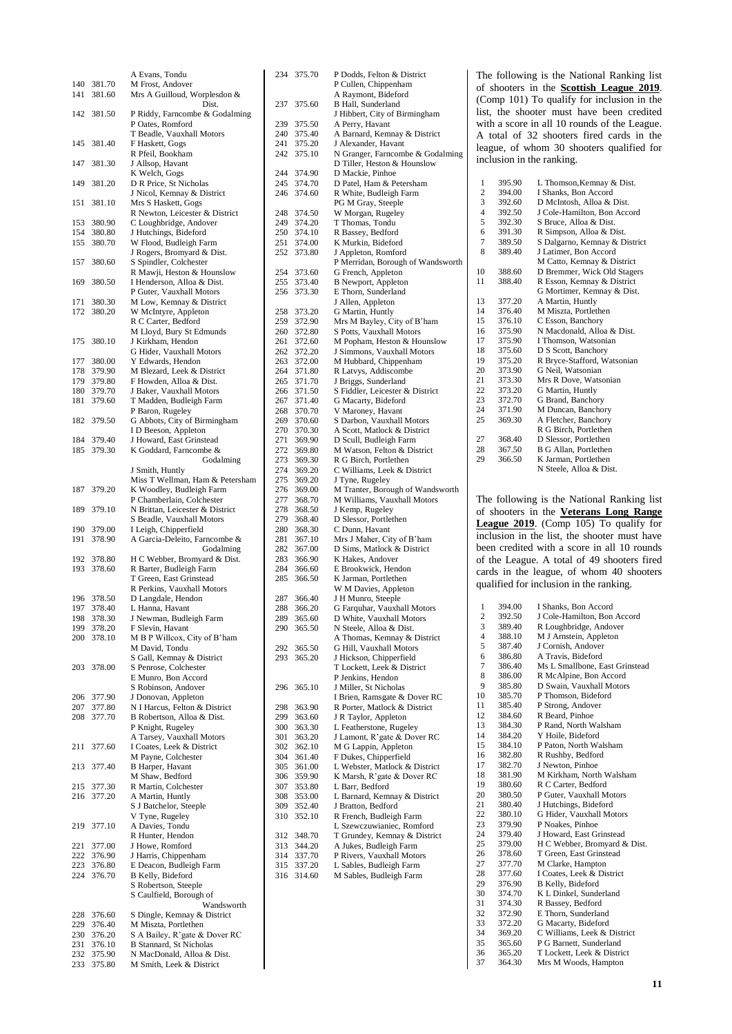|            |                  | A Evans, Tondu                                         |
|------------|------------------|--------------------------------------------------------|
| 140        | 381.70           | M Frost, Andover                                       |
| 141        | 381.60           | Mrs A Guilloud, Worplesdon &                           |
|            |                  | Dist.                                                  |
| 142        | 381.50           | P Riddy, Farncombe & Godalming                         |
|            |                  | P Oates, Romford                                       |
|            |                  | T Beadle, Vauxhall Motors                              |
| 145        | 381.40           | F Haskett, Gogs                                        |
|            |                  | R Pfeil, Bookham                                       |
| 147        | 381.30           | J Allsop, Havant                                       |
|            |                  | K Welch, Gogs                                          |
| 149        | 381.20           | D R Price, St Nicholas                                 |
|            |                  | J Nicol, Kemnay & District                             |
|            |                  |                                                        |
| 151        | 381.10           | Mrs S Haskett, Gogs                                    |
|            |                  | R Newton, Leicester & District                         |
| 153        | 380.90           | C Loughbridge, Andover                                 |
| 154        | 380.80           | J Hutchings, Bideford                                  |
| 155        | 380.70           | W Flood, Budleigh Farm                                 |
|            |                  | J Rogers, Bromyard & Dist.                             |
| 157        | 380.60           | S Spindler, Colchester                                 |
|            |                  | R Mawji, Heston & Hounslow                             |
| 169        | 380.50           | I Henderson, Alloa & Dist.                             |
|            |                  | P Guter, Vauxhall Motors                               |
| 171        | 380.30           | M Low, Kemnay & District                               |
| 172        | 380.20           | W McIntyre, Appleton                                   |
|            |                  | R C Carter, Bedford                                    |
|            |                  | M Lloyd, Bury St Edmunds                               |
| 175        | 380.10           | J Kirkham, Hendon                                      |
|            |                  | G Hider, Vauxhall Motors                               |
| 177        | 380.00           | Y Edwards, Hendon                                      |
| 178        | 379.90           | M Blezard, Leek & District                             |
| 179        | 379.80           | F Howden, Alloa & Dist.                                |
| 180        | 379.70           | J Baker, Vauxhall Motors                               |
| 181        | 379.60           | T Madden, Budleigh Farm                                |
|            |                  | P Baron, Rugeley                                       |
| 182        | 379.50           | G Abbots, City of Birmingham                           |
|            |                  | I D Beeson, Appleton                                   |
|            |                  |                                                        |
| 184        | 379.40           | J Howard, East Grinstead                               |
| 185        | 379.30           | K Goddard, Farncombe &                                 |
|            |                  | Godalming                                              |
|            |                  | J Smith, Huntly                                        |
|            |                  | Miss T Wellman, Ham & Petersham                        |
| 187        | 379.20           | K Woodley, Budleigh Farm                               |
|            |                  | P Chamberlain, Colchester                              |
| 189        | 379.10           | N Brittan, Leicester & District                        |
|            |                  | S Beadle, Vauxhall Motors                              |
|            |                  |                                                        |
| 190        | 379.00           | I Leigh, Chipperfield                                  |
| 191        | 378.90           | A Garcia-Deleito, Farncombe &                          |
|            |                  | Godalming                                              |
| 192        | 378.80           | H C Webber, Bromyard & Dist.                           |
| 193        | 378.60           | R Barter, Budleigh Farm                                |
|            |                  | T Green, East Grinstead                                |
|            |                  |                                                        |
| 196        |                  | R Perkins, Vauxhall Motors                             |
|            | 378.50           | D Langdale, Hendon                                     |
| 197        | 378.40           | L Hanna, Havant                                        |
| 198        | 378.30           | J Newman, Budleigh Farm                                |
| 199        | 378.20           | F Slevin, Havant                                       |
| 200        | 378.10           | M B P Willcox, City of B'ham                           |
|            |                  | M David, Tondu                                         |
|            |                  | S Gall, Kemnay & District                              |
| 203        | 378.00           | S Penrose, Colchester                                  |
|            |                  | E Munro, Bon Accord                                    |
|            |                  | S Robinson, Andover                                    |
| 206        | 377.90           | J Donovan, Appleton                                    |
| 207        | 377.80           | N I Harcus, Felton & District                          |
| 208        | 377.70           | B Robertson, Alloa & Dist.                             |
|            |                  | P Knight, Rugeley                                      |
|            |                  | A Tarsey, Vauxhall Motors                              |
| 211        | 377.60           | I Coates, Leek & District                              |
|            |                  | M Payne, Colchester                                    |
| 213        | 377.40           | B Harper, Havant                                       |
|            |                  | M Shaw, Bedford                                        |
| 215        | 377.30           | R Martin, Colchester                                   |
| 216        | 377.20           | A Martin, Huntly                                       |
|            |                  | S J Batchelor, Steeple                                 |
|            |                  | V Tyne, Rugeley                                        |
| 219        | 377.10           | A Davies, Tondu                                        |
|            |                  | R Hunter, Hendon                                       |
| 221        | 377.00           | J Howe, Romford                                        |
| 222        | 376.90           | J Harris, Chippenham                                   |
| 223        | 376.80           | E Deacon, Budleigh Farm                                |
| 224        | 376.70           | B Kelly, Bideford                                      |
|            |                  | S Robertson, Steeple                                   |
|            |                  | S Caulfield, Borough of                                |
|            |                  | Wandsworth                                             |
|            |                  |                                                        |
| 228<br>229 | 376.60           | S Dingle, Kemnay & District                            |
|            | 376.40           | M Miszta, Portlethen                                   |
| 230        | 376.20           | S A Bailey, R'gate & Dover RC                          |
| 231        | 376.10           | B Stannard, St Nicholas                                |
| 232<br>233 | 375.90<br>375.80 | N MacDonald, Alloa & Dist.<br>M Smith, Leek & District |

| 234        | 375.70           | P Dodds, Felton & District                                      |
|------------|------------------|-----------------------------------------------------------------|
|            |                  | P Cullen, Chippenham<br>A Raymont, Bideford                     |
| 237        | 375.60           | <b>B</b> Hall, Sunderland<br>J Hibbert, City of Birmingham      |
| 239<br>240 | 375.50           | A Perry, Havant<br>A Barnard, Kemnay & District                 |
| 241        | 375.40           |                                                                 |
| 242        | 375.20<br>375.10 | J Alexander, Havant<br>N Granger, Farncombe & Godalming         |
| 244        | 374.90           | D Tiller, Heston & Hounslow<br>D Mackie, Pinhoe                 |
| 245        | 374.70           | D Patel, Ham & Petersham                                        |
| 246        | 374.60           | R White, Budleigh Farm                                          |
|            |                  | PG M Gray, Steeple                                              |
| 248<br>249 | 374.50<br>374.20 | W Morgan, Rugeley<br>T Thomas, Tondu                            |
| 250        | 374.10           | R Bassey, Bedford                                               |
| 251        | 374.00           | K Murkin, Bideford                                              |
| 252        | 373.80           | J Appleton, Romford<br>P Merridan, Borough of Wandsworth        |
| 254        | 373.60           | G French, Appleton                                              |
| 255        | 373.40           | B Newport, Appleton                                             |
| 256        | 373.30           | E Thorn, Sunderland                                             |
| 258        | 373.20           | J Allen, Appleton<br>G Martin, Huntly                           |
| 259        | 372.90           | Mrs M Bayley, City of B'ham                                     |
| 260        | 372.80           | S Potts, Vauxhall Motors                                        |
| 261        | 372.60           | M Popham, Heston & Hounslow                                     |
| 262        | 372.20           | J Simmons, Vauxhall Motors                                      |
| 263        | 372.00           | M Hubbard, Chippenham                                           |
| 264        | 371.80           | R Latvys, Addiscombe                                            |
| 265        | 371.70           | J Briggs, Sunderland                                            |
| 266        | 371.50           | S Fiddler, Leicester & District<br>G Macarty, Bideford          |
| 267<br>268 | 371.40<br>370.70 | V Maroney, Havant                                               |
| 269        | 370.60           | S Darbon, Vauxhall Motors                                       |
| 270        | 370.30           | A Scott, Matlock & District                                     |
| 271        | 369.90           | D Scull, Budleigh Farm                                          |
| 272        | 369.80           | M Watson, Felton & District                                     |
| 273        | 369.30           | R G Birch, Portlethen                                           |
| 274        | 369.20           | C Williams, Leek & District                                     |
| 275        | 369.20           | J Tyne, Rugeley                                                 |
| 276<br>277 | 369.00<br>368.70 | M Tranter, Borough of Wandsworth<br>M Williams, Vauxhall Motors |
| 278        | 368.50           | J Kemp, Rugeley                                                 |
| 279        | 368.40           | D Slessor, Portlethen                                           |
| 280        | 368.30           | C Dunn, Havant                                                  |
| 281        | 367.10           | Mrs J Maher, City of B'ham                                      |
| 282        | 367.00           | D Sims, Matlock & District                                      |
| 283        | 366.90           | K Hakes, Andover                                                |
| 284        | 366.60           | E Brookwick, Hendon                                             |
| 285        | 366.50           | K Jarman, Portlethen<br>W M Davies, Appleton                    |
| 287        | 366.40           | J H Munro, Steeple                                              |
| 288        | 366.20           | G Farquhar, Vauxhall Motors                                     |
| 289        | 365.60           | D White, Vauxhall Motors                                        |
| 290        | 365.50           | N Steele, Alloa & Dist.<br>A Thomas, Kemnay & District          |
| 292        | 365.50           | G Hill, Vauxhall Motors                                         |
| 293        | 365.20           | J Hickson, Chipperfield                                         |
|            |                  | T Lockett, Leek & District                                      |
| 296        | 365.10           | P Jenkins, Hendon<br>J Miller, St Nicholas                      |
|            |                  | I Brien, Ramsgate & Dover RC                                    |
| 298        | 363.90           | R Porter, Matlock & District                                    |
| 299        | 363.60           | J R Taylor, Appleton                                            |
| 300        | 363.30           | L Featherstone, Rugeley                                         |
| 301        | 363.20           | J Lamont, R'gate & Dover RC                                     |
| 302<br>304 | 362.10<br>361.40 | M G Lappin, Appleton<br>F Dukes, Chipperfield                   |
| 305        | 361.00           | L Webster, Matlock & District                                   |
| 306        | 359.90           | K Marsh, R'gate & Dover RC                                      |
| 307        | 353.80           | L Barr, Bedford                                                 |
| 308        | 353.00           | L Barnard, Kemnay & District                                    |
| 309        | 352.40           | J Bratton, Bedford                                              |
| 310        | 352.10           | R French, Budleigh Farm<br>L Szewczuwianiec, Romford            |
| 312        | 348.70           | T Grundey, Kemnay & District                                    |
| 313        | 344.20           | A Jukes, Budleigh Farm                                          |
| 314        | 337.70           | P Rivers, Vauxhall Motors                                       |
| 315        | 337.20           | L Sables, Budleigh Farm                                         |
| 316        | 314.60           | M Sables, Budleigh Farm                                         |
|            |                  |                                                                 |
|            |                  |                                                                 |
|            |                  |                                                                 |
|            |                  |                                                                 |
|            |                  |                                                                 |

The following is the National Ranking list of shooters in the **Scottish League 2019**. (Comp 101) To qualify for inclusion in the list, the shooter must have been credited with a score in all 10 rounds of the League. A total of 32 shooters fired cards in the league, of whom 30 shooters qualified for inclusion in the ranking.

| 1              | 395.90 | L Thomson, Kemnay & Dist.     |
|----------------|--------|-------------------------------|
| 2              | 394.00 | I Shanks, Bon Accord          |
| 3              | 392.60 | D McIntosh, Alloa & Dist.     |
| $\overline{4}$ | 392.50 | J Cole-Hamilton, Bon Accord   |
| 5              | 392.30 | S Bruce, Alloa & Dist.        |
| 6              | 391.30 | R Simpson, Alloa & Dist.      |
| 7              | 389.50 | S Dalgarno, Kemnay & District |
| 8              | 389.40 | J Latimer, Bon Accord         |
|                |        | M Catto, Kemnay & District    |
| 10             | 388.60 | D Bremmer, Wick Old Stagers   |
| 11             | 388.40 | R Esson, Kemnay & District    |
|                |        | G Mortimer, Kemnay & Dist.    |
| 13             | 377.20 | A Martin, Huntly              |
| 14             | 376.40 | M Miszta, Portlethen          |
| 15             | 376.10 | C Esson, Banchory             |
| 16             | 375.90 | N Macdonald, Alloa & Dist.    |
| 17             | 375.90 | I Thomson, Watsonian          |
| 18             | 375.60 | D S Scott, Banchory           |
| 19             | 375.20 | R Bryce-Stafford, Watsonian   |
| 20             | 373.90 | G Neil, Watsonian             |
| 21             | 373.30 | Mrs R Dove, Watsonian         |
| 22             | 373.20 | G Martin, Huntly              |
| 23             | 372.70 | G Brand, Banchory             |
| 24             | 371.90 | M Duncan, Banchory            |
| 25             | 369.30 | A Fletcher, Banchory          |
|                |        | R G Birch, Portlethen         |
| 27             | 368.40 | D Slessor, Portlethen         |
| 28             | 367.50 | <b>B G Allan, Portlethen</b>  |
| 29             | 366.50 | K Jarman, Portlethen          |
|                |        | N Steele, Alloa & Dist.       |

The following is the National Ranking list of shooters in the **Veterans Long Range League 2019**. (Comp 105) To qualify for inclusion in the list, the shooter must have been credited with a score in all 10 rounds of the League. A total of 49 shooters fired cards in the league, of whom 40 shooters qualified for inclusion in the ranking.

| 1              | 394.00 | I Shanks, Bon Accord           |
|----------------|--------|--------------------------------|
| $\overline{2}$ | 392.50 | J Cole-Hamilton, Bon Accord    |
| 3              | 389.40 | R Loughbridge, Andover         |
| $\overline{4}$ | 388.10 | M J Arnstein, Appleton         |
| 5              | 387.40 | J Cornish, Andover             |
| 6              | 386.80 | A Travis, Bideford             |
| 7              | 386.40 | Ms L Smallbone, East Grinstead |
| 8              | 386.00 | R McAlpine, Bon Accord         |
| 9              | 385.80 | D Swain, Vauxhall Motors       |
| 10             | 385.70 | P Thomson, Bideford            |
| 11             | 385.40 | P Strong, Andover              |
| 12             | 384.60 | R Beard, Pinhoe                |
| 13             | 384.30 | P Rand, North Walsham          |
| 14             | 384.20 | Y Hoile, Bideford              |
| 15             | 384.10 | P Paton, North Walsham         |
| 16             | 382.80 | R Rushby, Bedford              |
| 17             | 382.70 | J Newton, Pinhoe               |
| 18             | 381.90 | M Kirkham, North Walsham       |
| 19             | 380.60 | R C Carter, Bedford            |
| 20             | 380.50 | P Guter, Vauxhall Motors       |
| 21             | 380.40 | J Hutchings, Bideford          |
| 22             | 380.10 | G Hider, Vauxhall Motors       |
| 23             | 379.90 | P Noakes, Pinhoe               |
| 24             | 379.40 | J Howard, East Grinstead       |
| 25             | 379.00 | H C Webber, Bromyard & Dist.   |
| 26             | 378.60 | T Green, East Grinstead        |
| 27             | 377.70 | M Clarke, Hampton              |
| 28             | 377.60 | I Coates, Leek & District      |
| 29             | 376.90 | B Kelly, Bideford              |
| 30             | 374.70 | K L Dinkel, Sunderland         |
| 31             | 374.30 | R Bassey, Bedford              |
| 32             | 372.90 | E Thorn, Sunderland            |
| 33             | 372.20 | G Macarty, Bideford            |
| 34             | 369.20 | C Williams, Leek & District    |
| 35             | 365.60 | P G Barnett, Sunderland        |
| 36             | 365.20 | T Lockett, Leek & District     |
| 37             | 364.30 | Mrs M Woods, Hampton           |
|                |        |                                |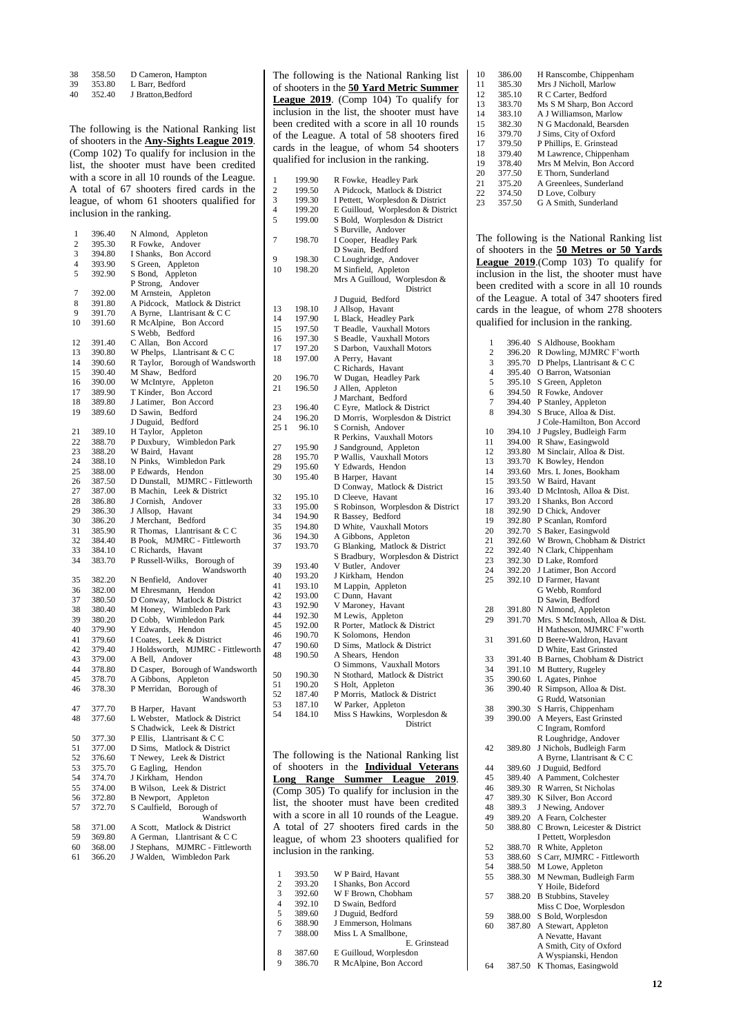38 358.50 D Cameron, Hampton

39 353.80 L Barr, Bedford

40 352.40 J Bratton,Bedford

The following is the National Ranking list of shooters in the **Any-Sights League 2019**. (Comp 102) To qualify for inclusion in the list, the shooter must have been credited with a score in all 10 rounds of the League. A total of 67 shooters fired cards in the league, of whom 61 shooters qualified for inclusion in the ranking.

| 1                        | 396.40           | N Almond, Appleton                                                                |
|--------------------------|------------------|-----------------------------------------------------------------------------------|
| $\overline{c}$           | 395.30           | R Fowke, Andover                                                                  |
| 3                        | 394.80           | <b>Bon Accord</b><br>I Shanks,                                                    |
| $\overline{4}$           | 393.90           | S Green, Appleton                                                                 |
| 5                        | 392.90           | S Bond, Appleton                                                                  |
|                          |                  | P Strong, Andover                                                                 |
| $\overline{\mathcal{I}}$ | 392.00           | M Arnstein, Appleton                                                              |
| 8                        | 391.80           | A Pidcock, Matlock & District                                                     |
| 9                        | 391.70           | A Byrne, Llantrisant & CC                                                         |
| 10                       | 391.60           |                                                                                   |
|                          |                  | R McAlpine, Bon Accord                                                            |
| 12                       |                  | S Webb, Bedford<br>C Allan, Bon Accord                                            |
|                          | 391.40           |                                                                                   |
| 13                       | 390.80           | W Phelps, Llantrisant & C C<br>R Taylor, Borough of Wandsworth                    |
| 14                       | 390.60           |                                                                                   |
| 15                       | 390.40           | M Shaw, Bedford                                                                   |
| 16                       | 390.00           | W McIntyre, Appleton                                                              |
| 17                       | 389.90           | T Kinder, Bon Accord                                                              |
| 18                       | 389.80           | J Latimer, Bon Accord                                                             |
| 19                       | 389.60           | D Sawin, Bedford                                                                  |
|                          |                  | J Duguid, Bedford                                                                 |
| 21                       | 389.10           | H Taylor, Appleton                                                                |
| 22                       | 388.70           | P Duxbury, Wimbledon Park                                                         |
| 23                       | 388.20           | W Baird, Havant                                                                   |
| 24                       | 388.10           | N Pinks, Wimbledon Park                                                           |
| 25                       | 388.00           | P Edwards, Hendon                                                                 |
| 26                       | 387.50           | D Dunstall, MJMRC - Fittleworth                                                   |
| 27                       | 387.00           | B Machin, Leek & District<br>J Cornish, Andover                                   |
| 28                       | 386.80           |                                                                                   |
| 29                       | 386.30           | J Allsop, Havant                                                                  |
| 30                       | 386.20           | J Merchant, Bedford                                                               |
| 31                       | 385.90           | R Thomas, Llantrisant & C C                                                       |
| 32                       | 384.40           | B Pook, MJMRC - Fittleworth                                                       |
| 33                       | 384.10           | C Richards, Havant                                                                |
| 34                       | 383.70           | P Russell-Wilks, Borough of                                                       |
|                          |                  | Wandsworth                                                                        |
| 35                       | 382.20           | N Benfield, Andover                                                               |
| 36                       | 382.00           | M Ehresmann, Hendon                                                               |
| 37                       | 380.50           |                                                                                   |
|                          |                  |                                                                                   |
|                          |                  |                                                                                   |
| 38                       | 380.40           |                                                                                   |
| 39                       | 380.20           | D Conway, Matlock & District<br>M Honey, Wimbledon Park<br>D Cobb, Wimbledon Park |
| 40                       | 379.90           | Y Edwards, Hendon                                                                 |
| 41                       | 379.60           | I Coates, Leek & District                                                         |
| 42                       | 379.40           | J Holdsworth, MJMRC - Fittleworth                                                 |
| 43                       | 379.00           | A Bell, Andover                                                                   |
| 44                       | 378.80           | D Casper, Borough of Wandsworth                                                   |
| 45                       | 378.70           | A Gibbons, Appleton                                                               |
| 46                       | 378.30           | P Merridan,<br>Borough of                                                         |
|                          |                  | Wandsworth                                                                        |
| 47                       | 377.70           | B Harper, Havant                                                                  |
| 48                       | 377.60           | L Webster, Matlock & District                                                     |
|                          |                  | S Chadwick, Leek & District                                                       |
| 50                       | 377.30           |                                                                                   |
| 51                       | 377.00           | P Ellis, Llantrisant & C C<br>D Sims, Matlock & District                          |
| 52                       | 376.60           | T Newey, Leek & District                                                          |
| 53                       | 375.70           | G Eagling, Hendon                                                                 |
| 54                       | 374.70           | J Kirkham, Hendon                                                                 |
| 55                       | 374.00           |                                                                                   |
| 56                       | 372.80           | B Wilson, Leek & District                                                         |
| 57                       |                  | B Newport, Appleton                                                               |
|                          | 372.70           | S Caulfield,<br>Borough of<br>Wandsworth                                          |
|                          |                  |                                                                                   |
| 58                       | 371.00           | A Scott, Matlock & District                                                       |
| 59                       | 369.80           | A German, Llantrisant & C C                                                       |
| 60<br>61                 | 368.00<br>366.20 | J Stephans,<br>MJMRC - Fittleworth<br>Wimbledon Park<br>J Walden,                 |

The following is the National Ranking list of shooters in the **50 Yard Metric Summer League 2019**. (Comp 104) To qualify for inclusion in the list, the shooter must have been credited with a score in all 10 rounds of the League. A total of 58 shooters fired cards in the league, of whom 54 shooters qualified for inclusion in the ranking.

| 1<br>199.90<br>R Fowke, Headley Park<br>$\overline{c}$<br>A Pidcock, Matlock & District<br>199.50<br>3<br>199.30<br>I Pettett, Worplesdon & District<br>4<br>E Guilloud, Worplesdon & District<br>199.20<br>5<br>S Bold, Worplesdon & District<br>199.00<br>S Burville, Andover<br>7<br>198.70<br>I Cooper, Headley Park<br>D Swain, Bedford<br>9<br>198.30<br>C Loughridge, Andover<br>10<br>198.20<br>M Sinfield, Appleton<br>Mrs A Guilloud, Worplesdon &<br>District<br>J Duguid, Bedford<br>J Allsop, Havant<br>13<br>198.10<br>L Black, Headley Park<br>14<br>197.90<br>15<br>T Beadle, Vauxhall Motors<br>197.50<br>S Beadle, Vauxhall Motors<br>16<br>197.30<br>S Darbon, Vauxhall Motors<br>17<br>197.20<br>18<br>A Perry, Havant<br>197.00<br>C Richards, Havant |  |
|----------------------------------------------------------------------------------------------------------------------------------------------------------------------------------------------------------------------------------------------------------------------------------------------------------------------------------------------------------------------------------------------------------------------------------------------------------------------------------------------------------------------------------------------------------------------------------------------------------------------------------------------------------------------------------------------------------------------------------------------------------------------------|--|
|                                                                                                                                                                                                                                                                                                                                                                                                                                                                                                                                                                                                                                                                                                                                                                            |  |
|                                                                                                                                                                                                                                                                                                                                                                                                                                                                                                                                                                                                                                                                                                                                                                            |  |
|                                                                                                                                                                                                                                                                                                                                                                                                                                                                                                                                                                                                                                                                                                                                                                            |  |
|                                                                                                                                                                                                                                                                                                                                                                                                                                                                                                                                                                                                                                                                                                                                                                            |  |
|                                                                                                                                                                                                                                                                                                                                                                                                                                                                                                                                                                                                                                                                                                                                                                            |  |
|                                                                                                                                                                                                                                                                                                                                                                                                                                                                                                                                                                                                                                                                                                                                                                            |  |
|                                                                                                                                                                                                                                                                                                                                                                                                                                                                                                                                                                                                                                                                                                                                                                            |  |
|                                                                                                                                                                                                                                                                                                                                                                                                                                                                                                                                                                                                                                                                                                                                                                            |  |
|                                                                                                                                                                                                                                                                                                                                                                                                                                                                                                                                                                                                                                                                                                                                                                            |  |
|                                                                                                                                                                                                                                                                                                                                                                                                                                                                                                                                                                                                                                                                                                                                                                            |  |
|                                                                                                                                                                                                                                                                                                                                                                                                                                                                                                                                                                                                                                                                                                                                                                            |  |
|                                                                                                                                                                                                                                                                                                                                                                                                                                                                                                                                                                                                                                                                                                                                                                            |  |
|                                                                                                                                                                                                                                                                                                                                                                                                                                                                                                                                                                                                                                                                                                                                                                            |  |
|                                                                                                                                                                                                                                                                                                                                                                                                                                                                                                                                                                                                                                                                                                                                                                            |  |
|                                                                                                                                                                                                                                                                                                                                                                                                                                                                                                                                                                                                                                                                                                                                                                            |  |
|                                                                                                                                                                                                                                                                                                                                                                                                                                                                                                                                                                                                                                                                                                                                                                            |  |
|                                                                                                                                                                                                                                                                                                                                                                                                                                                                                                                                                                                                                                                                                                                                                                            |  |
|                                                                                                                                                                                                                                                                                                                                                                                                                                                                                                                                                                                                                                                                                                                                                                            |  |
|                                                                                                                                                                                                                                                                                                                                                                                                                                                                                                                                                                                                                                                                                                                                                                            |  |
|                                                                                                                                                                                                                                                                                                                                                                                                                                                                                                                                                                                                                                                                                                                                                                            |  |
| 20<br>196.70<br>W Dugan, Headley Park                                                                                                                                                                                                                                                                                                                                                                                                                                                                                                                                                                                                                                                                                                                                      |  |
| 196.50<br>J Allen, Appleton<br>21                                                                                                                                                                                                                                                                                                                                                                                                                                                                                                                                                                                                                                                                                                                                          |  |
| J Marchant, Bedford                                                                                                                                                                                                                                                                                                                                                                                                                                                                                                                                                                                                                                                                                                                                                        |  |
| 23<br>196.40<br>C Eyre, Matlock & District                                                                                                                                                                                                                                                                                                                                                                                                                                                                                                                                                                                                                                                                                                                                 |  |
| D Morris, Worplesdon & District<br>24<br>196.20                                                                                                                                                                                                                                                                                                                                                                                                                                                                                                                                                                                                                                                                                                                            |  |
| 25 1<br>96.10<br>S Cornish, Andover                                                                                                                                                                                                                                                                                                                                                                                                                                                                                                                                                                                                                                                                                                                                        |  |
| R Perkins, Vauxhall Motors                                                                                                                                                                                                                                                                                                                                                                                                                                                                                                                                                                                                                                                                                                                                                 |  |
| 27<br>195.90<br>J Sandground, Appleton                                                                                                                                                                                                                                                                                                                                                                                                                                                                                                                                                                                                                                                                                                                                     |  |
| 28<br>P Wallis, Vauxhall Motors<br>195.70                                                                                                                                                                                                                                                                                                                                                                                                                                                                                                                                                                                                                                                                                                                                  |  |
| 29<br>Y Edwards, Hendon<br>195.60                                                                                                                                                                                                                                                                                                                                                                                                                                                                                                                                                                                                                                                                                                                                          |  |
| 30<br>B Harper, Havant<br>195.40                                                                                                                                                                                                                                                                                                                                                                                                                                                                                                                                                                                                                                                                                                                                           |  |
| D Conway, Matlock & District                                                                                                                                                                                                                                                                                                                                                                                                                                                                                                                                                                                                                                                                                                                                               |  |
| 32<br>D Cleeve, Havant<br>195.10                                                                                                                                                                                                                                                                                                                                                                                                                                                                                                                                                                                                                                                                                                                                           |  |
| S Robinson, Worplesdon & District<br>33<br>195.00                                                                                                                                                                                                                                                                                                                                                                                                                                                                                                                                                                                                                                                                                                                          |  |
| 34<br>194.90<br>R Bassey, Bedford                                                                                                                                                                                                                                                                                                                                                                                                                                                                                                                                                                                                                                                                                                                                          |  |
| 35<br>194.80<br>D White, Vauxhall Motors                                                                                                                                                                                                                                                                                                                                                                                                                                                                                                                                                                                                                                                                                                                                   |  |
| 36<br>194.30<br>A Gibbons, Appleton                                                                                                                                                                                                                                                                                                                                                                                                                                                                                                                                                                                                                                                                                                                                        |  |
| 37<br>193.70<br>G Blanking, Matlock & District                                                                                                                                                                                                                                                                                                                                                                                                                                                                                                                                                                                                                                                                                                                             |  |
| S Bradbury, Worplesdon & District                                                                                                                                                                                                                                                                                                                                                                                                                                                                                                                                                                                                                                                                                                                                          |  |
| 39<br>193.40<br>V Butler, Andover                                                                                                                                                                                                                                                                                                                                                                                                                                                                                                                                                                                                                                                                                                                                          |  |
| J Kirkham, Hendon<br>40<br>193.20                                                                                                                                                                                                                                                                                                                                                                                                                                                                                                                                                                                                                                                                                                                                          |  |
|                                                                                                                                                                                                                                                                                                                                                                                                                                                                                                                                                                                                                                                                                                                                                                            |  |
|                                                                                                                                                                                                                                                                                                                                                                                                                                                                                                                                                                                                                                                                                                                                                                            |  |
| 41<br>193.10<br>M Lappin, Appleton<br>42                                                                                                                                                                                                                                                                                                                                                                                                                                                                                                                                                                                                                                                                                                                                   |  |
| C Dunn, Havant<br>193.00                                                                                                                                                                                                                                                                                                                                                                                                                                                                                                                                                                                                                                                                                                                                                   |  |
| 43<br>192.90<br>V Maroney, Havant                                                                                                                                                                                                                                                                                                                                                                                                                                                                                                                                                                                                                                                                                                                                          |  |
| M Lewis, Appleton<br>44<br>192.30                                                                                                                                                                                                                                                                                                                                                                                                                                                                                                                                                                                                                                                                                                                                          |  |
| 45<br>192.00<br>R Porter, Matlock & District                                                                                                                                                                                                                                                                                                                                                                                                                                                                                                                                                                                                                                                                                                                               |  |
| K Solomons, Hendon<br>46<br>190.70                                                                                                                                                                                                                                                                                                                                                                                                                                                                                                                                                                                                                                                                                                                                         |  |
| 47<br>D Sims, Matlock & District<br>190.60                                                                                                                                                                                                                                                                                                                                                                                                                                                                                                                                                                                                                                                                                                                                 |  |
| 48<br>190.50<br>A Shears, Hendon                                                                                                                                                                                                                                                                                                                                                                                                                                                                                                                                                                                                                                                                                                                                           |  |
| O Simmons, Vauxhall Motors                                                                                                                                                                                                                                                                                                                                                                                                                                                                                                                                                                                                                                                                                                                                                 |  |
| N Stothard, Matlock & District<br>190.30                                                                                                                                                                                                                                                                                                                                                                                                                                                                                                                                                                                                                                                                                                                                   |  |
| 50<br>51<br>S Holt, Appleton<br>190.20                                                                                                                                                                                                                                                                                                                                                                                                                                                                                                                                                                                                                                                                                                                                     |  |
| 52<br>P Morris, Matlock & District<br>187.40                                                                                                                                                                                                                                                                                                                                                                                                                                                                                                                                                                                                                                                                                                                               |  |
| 53<br>W Parker, Appleton<br>187.10<br>54<br>184.10<br>Miss S Hawkins, Worplesdon &                                                                                                                                                                                                                                                                                                                                                                                                                                                                                                                                                                                                                                                                                         |  |

The following is the National Ranking list of shooters in the **Individual Veterans Long Range Summer League 2019**. (Comp 305) To qualify for inclusion in the list, the shooter must have been credited with a score in all 10 rounds of the League. A total of 27 shooters fired cards in the league, of whom 23 shooters qualified for inclusion in the ranking.

|   | 393.50 | W P Baird, Havant      |
|---|--------|------------------------|
| 2 | 393.20 | I Shanks, Bon Accord   |
| 3 | 392.60 | W F Brown, Chobham     |
| 4 | 392.10 | D Swain, Bedford       |
| 5 | 389.60 | J Duguid, Bedford      |
| 6 | 388.90 | J Emmerson, Holmans    |
| 7 | 388.00 | Miss L A Smallbone.    |
|   |        | E. Grinstead           |
| 8 | 387.60 | E Guilloud, Worplesdon |
| q | 386.70 | R McAlpine, Bon Accord |
|   |        |                        |

| 10 | 386.00 | H Ranscombe, Chippenham  |
|----|--------|--------------------------|
| 11 | 385.30 | Mrs J Nicholl, Marlow    |
| 12 | 385.10 | R C Carter, Bedford      |
| 13 | 383.70 | Ms S M Sharp, Bon Accord |
| 14 | 383.10 | A J Williamson, Marlow   |
| 15 | 382.30 | N G Macdonald, Bearsden  |
| 16 | 379.70 | J Sims, City of Oxford   |
| 17 | 379.50 | P Phillips, E. Grinstead |
| 18 | 379.40 | M Lawrence, Chippenham   |
| 19 | 378.40 | Mrs M Melvin, Bon Accord |
| 20 | 377.50 | E Thorn, Sunderland      |
| 21 | 375.20 | A Greenlees, Sunderland  |
| 22 | 374.50 | D Love, Colbury          |
| 23 | 357.50 | G A Smith, Sunderland    |
|    |        |                          |

The following is the National Ranking list of shooters in the **50 Metres or 50 Yards League 2019**.(Comp 103) To qualify for inclusion in the list, the shooter must have been credited with a score in all 10 rounds of the League. A total of 347 shooters fired cards in the league, of whom 278 shooters qualified for inclusion in the ranking.

| 1              | 396.40           | S Aldhouse, Bookham                           |
|----------------|------------------|-----------------------------------------------|
| $\overline{c}$ | 396.20           | R Dowling, MJMRC F'worth                      |
| 3              | 395.70           | D Phelps, Llantrisant & C C                   |
| $\overline{4}$ | 395.40           | O Barron, Watsonian                           |
| 5              | 395.10           | S Green, Appleton                             |
| 6              | 394.50           | R Fowke, Andover                              |
| 7              | 394.40           | P Stanley, Appleton                           |
| 8              | 394.30           | S Bruce, Alloa & Dist.                        |
|                |                  | J Cole-Hamilton, Bon Accord                   |
| 10             | 394.10           | J Pugsley, Budleigh Farm                      |
| 11<br>12       | 394.00           | R Shaw, Easingwold                            |
| 13             | 393.80<br>393.70 | M Sinclair, Alloa & Dist.                     |
| 14             | 393.60           | K Bowley, Hendon<br>Mrs. L Jones, Bookham     |
| 15             | 393.50           | W Baird, Havant                               |
| 16             | 393.40           | D McIntosh, Alloa & Dist.                     |
| 17             | 393.20           | I Shanks, Bon Accord                          |
| 18             | 392.90           | D Chick, Andover                              |
| 19             | 392.80           | P Scanlan, Romford                            |
| 20             | 392.70           | S Baker, Easingwold                           |
| 21             | 392.60           | W Brown, Chobham & District                   |
| 22             | 392.40           | N Clark, Chippenham                           |
| 23             | 392.30           | D Lake, Romford                               |
| 24             | 392.20           | J Latimer, Bon Accord                         |
| 25             | 392.10           | D Farmer, Havant                              |
|                |                  | G Webb, Romford                               |
|                |                  | D Sawin, Bedford                              |
| 28             | 391.80           | N Almond, Appleton                            |
| 29             | 391.70           | Mrs. S McIntosh, Alloa & Dist.                |
|                |                  | H Matheson, MJMRC F'worth                     |
| 31             | 391.60           | D Beere-Waldron, Havant                       |
|                |                  | D White, East Grinsted                        |
| 33             | 391.40           | B Barnes, Chobham & District                  |
| 34             | 391.10           | M Buttery, Rugeley                            |
| 35             | 390.60           | L Agates, Pinhoe                              |
| 36             | 390.40           | R Simpson, Alloa & Dist.<br>G Rudd, Watsonian |
| 38             | 390.30           | S Harris, Chippenham                          |
| 39             | 390.00           | A Meyers, East Grinsted                       |
|                |                  | C Ingram, Romford                             |
|                |                  | R Loughridge, Andover                         |
| 42             | 389.80           | J Nichols, Budleigh Farm                      |
|                |                  | A Byrne, Llantrisant & C C                    |
| 44             | 389.60           | J Duguid, Bedford                             |
| 45             | 389.40           | A Pamment, Colchester                         |
| 46             | 389.30           | R Warren, St Nicholas                         |
| 47             | 389.30           | K Silver, Bon Accord                          |
| 48             | 389.3            | J Newing, Andover                             |
| 49             | 389.20           | A Fearn, Colchester                           |
| 50             | 388.80           | C Brown, Leicester & District                 |
|                |                  | I Pettett, Worplesdon<br>R White, Appleton    |
| 52             | 388.70           |                                               |
| 53             | 388.60           | S Carr, MJMRC - Fittleworth                   |
| 54             | 388.50           | M Lowe, Appleton                              |
| 55             | 388.30           | M Newman, Budleigh Farm                       |
|                |                  | Y Hoile, Bideford                             |
| 57             | 388.20           | <b>B</b> Stubbins, Staveley                   |
|                |                  | Miss C Doe, Worplesdon                        |
| 59             | 388.00           | S Bold, Worplesdon                            |
| 60             | 387.80           | A Stewart, Appleton                           |
|                |                  | A Nevatte, Havant<br>A Smith, City of Oxford  |
|                |                  | A Wyspianski, Hendon                          |
| 64             | 387.50           | K Thomas, Easingwold                          |
|                |                  |                                               |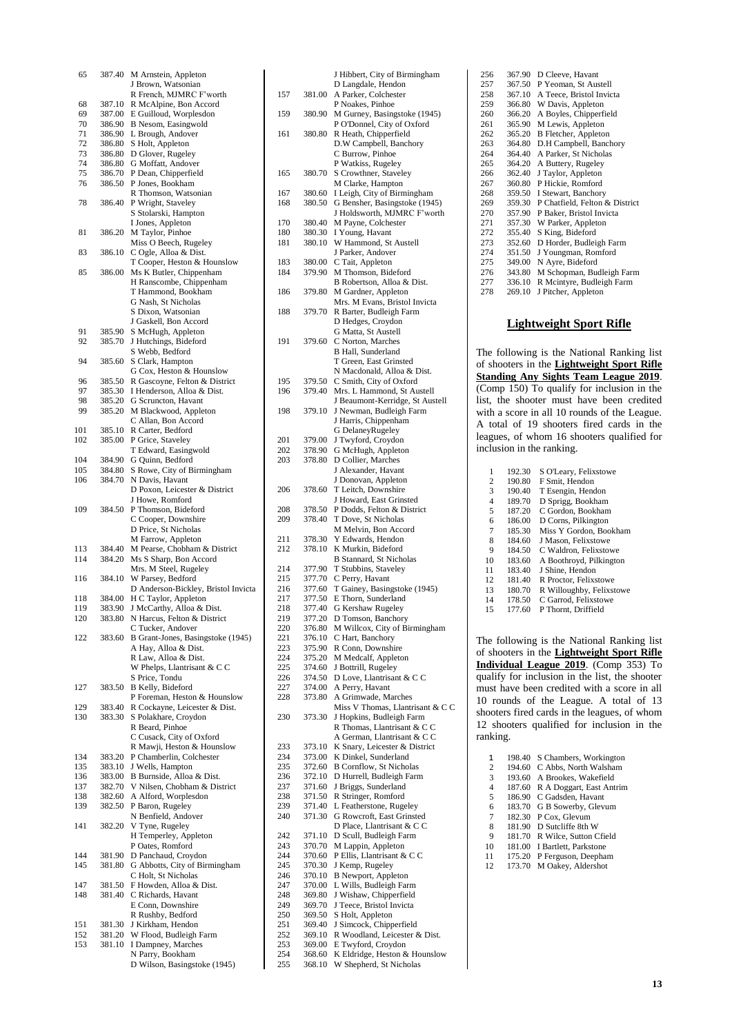| 65         | 387.40           | M Arnstein, Appleton                                        |
|------------|------------------|-------------------------------------------------------------|
|            |                  | J Brown, Watsonian                                          |
|            |                  | R French, MJMRC F'worth                                     |
| 68         | 387.10           | R McAlpine, Bon Accord                                      |
| 69<br>70   | 387.00<br>386.90 | E Guilloud, Worplesdon<br>B Nesom, Easingwold               |
| 71         | 386.90           | L Brough, Andover                                           |
| 72         | 386.80           | S Holt, Appleton                                            |
| 73         | 386.80           | D Glover, Rugeley                                           |
| 74         | 386.80           | G Moffatt, Andover                                          |
| 75         | 386.70           | P Dean, Chipperfield                                        |
| 76         | 386.50           | P Jones, Bookham                                            |
|            |                  | R Thomson, Watsonian                                        |
| 78         | 386.40           | P Wright, Staveley                                          |
|            |                  | S Stolarski, Hampton                                        |
| 81         | 386.20           | I Jones, Appleton<br>M Taylor, Pinhoe                       |
|            |                  | Miss O Beech, Rugeley                                       |
| 83         | 386.10           | C Ogle, Alloa & Dist.                                       |
|            |                  | T Cooper, Heston & Hounslow                                 |
| 85         | 386.00           | Ms K Butler, Chippenham                                     |
|            |                  | H Ranscombe, Chippenham                                     |
|            |                  | T Hammond, Bookham                                          |
|            |                  | G Nash, St Nicholas<br>S Dixon, Watsonian                   |
|            |                  | J Gaskell, Bon Accord                                       |
| 91         | 385.90           | S McHugh, Appleton                                          |
| 92         | 385.70           | J Hutchings, Bideford                                       |
|            |                  | S Webb, Bedford                                             |
| 94         | 385.60           | S Clark, Hampton                                            |
|            |                  | G Cox, Heston & Hounslow                                    |
| 96         | 385.50           | R Gascoyne, Felton & District                               |
| 97         | 385.30           | I Henderson, Alloa & Dist.                                  |
| 98<br>99   | 385.20<br>385.20 | G Scruncton, Havant                                         |
|            |                  | M Blackwood, Appleton<br>C Allan, Bon Accord                |
| 101        | 385.10           | R Carter, Bedford                                           |
| 102        | 385.00           | P Grice, Staveley                                           |
|            |                  | T Edward, Easingwold                                        |
| 104        | 384.90           | G Quinn, Bedford                                            |
| 105        | 384.80           | S Rowe, City of Birmingham                                  |
| 106        | 384.70           | N Davis, Havant                                             |
|            |                  | D Poxon, Leicester & District                               |
| 109        | 384.50           | J Howe, Romford<br>P Thomson, Bideford                      |
|            |                  | C Cooper, Downshire                                         |
|            |                  | D Price, St Nicholas                                        |
|            |                  | M Farrow, Appleton                                          |
| 113        | 384.40           | M Pearse, Chobham & District                                |
| 114        | 384.20           | Ms S Sharp, Bon Accord                                      |
|            |                  | Mrs. M Steel, Rugeley                                       |
| 116        | 384.10           | W Parsey, Bedford                                           |
| 118        | 384.00           | D Anderson-Bickley, Bristol Invicta<br>H C Taylor, Appleton |
| 119        | 383.90           | J McCarthy, Alloa & Dist.                                   |
| 120        | 383.80           | N Harcus. Felton & District                                 |
|            |                  | C Tucker, Andover                                           |
| 122        | 383.60           | B Grant-Jones, Basingstoke (1945)                           |
|            |                  | A Hay, Alloa & Dist.                                        |
|            |                  | R Law, Alloa & Dist.                                        |
|            |                  | W Phelps, Llantrisant & C C                                 |
| 127        | 383.50           | S Price, Tondu<br><b>B</b> Kelly, Bideford                  |
|            |                  | P Foreman, Heston & Hounslow                                |
| 129        | 383.40           | R Cockayne, Leicester & Dist.                               |
| 130        | 383.30           | S Polakhare, Croydon                                        |
|            |                  | R Beard, Pinhoe                                             |
|            |                  | C Cusack, City of Oxford                                    |
|            |                  | R Mawji, Heston & Hounslow                                  |
| 134        | 383.20           | P Chamberlin, Colchester                                    |
| 135<br>136 | 383.10<br>383.00 | J Wells, Hampton<br>B Burnside, Alloa & Dist.               |
| 137        | 382.70           | V Nilsen, Chobham & District                                |
| 138        | 382.60           | A Alford, Worplesdon                                        |
| 139        | 382.50           | P Baron, Rugeley                                            |
|            |                  | N Benfield, Andover                                         |
| 141        | 382.20           | V Tyne, Rugeley                                             |
|            |                  | H Temperley, Appleton                                       |
| 144        |                  | P Oates, Romford                                            |
| 145        | 381.90<br>381.80 | D Panchaud, Croydon<br>G Abbotts, City of Birmingham        |
|            |                  | C Holt, St Nicholas                                         |
| 147        | 381.50           | F Howden, Alloa & Dist.                                     |
| 148        | 381.40           | C Richards, Havant                                          |
|            |                  | E Conn, Downshire                                           |
|            |                  | R Rushby, Bedford                                           |
| 151        | 381.30           | J Kirkham, Hendon                                           |
| 152<br>153 | 381.20<br>381.10 | W Flood, Budleigh Farm                                      |
|            |                  | I Dampney, Marches<br>N Parry, Bookham                      |
|            |                  | D Wilson, Basingstoke (1945)                                |
|            |                  |                                                             |

|            |                  | J Hibbert, City of Birmingham<br>D Langdale, Hendon   |
|------------|------------------|-------------------------------------------------------|
| 157        | 381.00           | A Parker, Colchester                                  |
|            |                  | P Noakes, Pinhoe                                      |
| 159        | 380.90           | M Gurney, Basingstoke (1945)                          |
|            |                  | P O'Donnel, City of Oxford                            |
| 161        | 380.80           | R Heath, Chipperfield                                 |
|            |                  | D.W Campbell, Banchory                                |
|            |                  | C Burrow, Pinhoe<br>P Watkiss, Rugeley                |
| 165        | 380.70           | S Crowthner, Staveley                                 |
|            |                  | M Clarke, Hampton                                     |
| 167        | 380.60           | I Leigh, City of Birmingham                           |
| 168        | 380.50           | G Bensher, Basingstoke (1945)                         |
|            |                  | J Holdsworth, MJMRC F'worth                           |
| 170        | 380.40           | M Payne, Colchester                                   |
| 180        | 380.30           | I Young, Havant                                       |
| 181        | 380.10           | W Hammond, St Austell                                 |
| 183        | 380.00           | J Parker, Andover<br>C Tait, Appleton                 |
| 184        | 379.90           | M Thomson, Bideford                                   |
|            |                  | B Robertson, Alloa & Dist.                            |
| 186        | 379.80           | M Gardner, Appleton                                   |
|            |                  | Mrs. M Evans, Bristol Invicta                         |
| 188        | 379.70           | R Barter, Budleigh Farm                               |
|            |                  | D Hedges, Croydon                                     |
|            |                  | G Matta, St Austell                                   |
| 191        | 379.60           | C Norton, Marches                                     |
|            |                  | <b>B</b> Hall, Sunderland                             |
|            |                  | T Green, East Grinsted                                |
| 195        | 379.50           | N Macdonald, Alloa & Dist.                            |
| 196        | 379.40           | C Smith, City of Oxford<br>Mrs. L Hammond, St Austell |
|            |                  | J Beaumont-Kerridge, St Austell                       |
| 198        | 379.10           | J Newman, Budleigh Farm                               |
|            |                  | J Harris, Chippenham                                  |
|            |                  | G DelaneyRugeley                                      |
| 201        | 379.00           | J Twyford, Croydon                                    |
| 202        | 378.90           | G McHugh, Appleton                                    |
| 203        | 378.80           | D Collier, Marches                                    |
|            |                  | J Alexander, Havant                                   |
|            |                  | J Donovan, Appleton                                   |
| 206        | 378.60           | T Leitch, Downshire<br>J Howard, East Grinsted        |
| 208        | 378.50           | P Dodds, Felton & District                            |
| 209        | 378.40           | T Dove, St Nicholas                                   |
|            |                  | M Melvin, Bon Accord                                  |
| 211        | 378.30           | Y Edwards, Hendon                                     |
| 212        | 378.10           | K Murkin, Bideford                                    |
|            |                  | <b>B Stannard, St Nicholas</b>                        |
| 214        | 377.90           | T Stubbins, Staveley                                  |
| 215<br>216 | 377.70           | C Perry, Havant                                       |
| 217        | 377.60<br>377.50 | T Gainey, Basingstoke (1945)<br>E Thorn, Sunderland   |
| 218        | 377.40           | G Kershaw Rugeley                                     |
| 219        | 377.20           | D Tomson, Banchory                                    |
| 220        | 376.80           | M Willcox, City of Birmingham                         |
| 221        | 376.10           | C Hart, Banchory                                      |
| 223        | 375.90           | R Conn, Downshire                                     |
| 224        | 375.20           | M Medcalf, Appleton                                   |
| 225        | 374.60           | J Bottrill, Rugeley                                   |
| 226        | 374.50           | D Love, Llantrisant & C C                             |
| 227<br>228 | 374.00<br>373.80 | A Perry, Havant<br>A Grimwade, Marches                |
|            |                  | Miss V Thomas, Llantrisant & C C                      |
| 230        | 373.30           | J Hopkins, Budleigh Farm                              |
|            |                  | R Thomas, Llantrisant & CC                            |
|            |                  | A German, Llantrisant & CC                            |
| 233        | 373.10           | K Snary, Leicester & District                         |
| 234        | 373.00           | K Dinkel, Sunderland                                  |
| 235        | 372.60           | <b>B Cornflow, St Nicholas</b>                        |
| 236        | 372.10           | D Hurrell, Budleigh Farm                              |
| 237        | 371.60           | J Briggs, Sunderland                                  |
| 238        | 371.50           | R Stringer, Romford                                   |
| 239<br>240 | 371.40<br>371.30 | L Featherstone, Rugeley<br>G Rowcroft, East Grinsted  |
|            |                  | D Place, Llantrisant & C C                            |
| 242        | 371.10           | D Scull, Budleigh Farm                                |
| 243        | 370.70           | M Lappin, Appleton                                    |
| 244        | 370.60           | P Ellis, Llantrisant & C C                            |
| 245        | 370.30           | J Kemp, Rugeley                                       |
| 246        | 370.10           | <b>B</b> Newport, Appleton                            |
| 247        | 370.00           | L Wills, Budleigh Farm                                |
| 248        | 369.80           | J Wishaw, Chipperfield                                |
| 249        |                  |                                                       |
|            | 369.70           | J Teece, Bristol Invicta                              |
| 250        | 369.50           | S Holt, Appleton                                      |
| 251        | 369.40           | J Simcock, Chipperfield                               |
| 252        | 369.10           | R Woodland, Leicester & Dist.                         |
| 253<br>254 | 369.00<br>368.60 | E Twyford, Croydon<br>K Eldridge, Heston & Hounslow   |

| 256 | 367.90 | D Cleeve, Havant               |
|-----|--------|--------------------------------|
| 257 | 367.50 | P Yeoman, St Austell           |
| 258 | 367.10 | A Teece, Bristol Invicta       |
| 259 | 366.80 | W Davis, Appleton              |
| 260 | 366.20 | A Boyles, Chipperfield         |
| 261 | 365.90 | M Lewis, Appleton              |
| 262 | 365.20 | <b>B</b> Fletcher, Appleton    |
| 263 | 364.80 | D.H Campbell, Banchory         |
| 264 | 364.40 | A Parker, St Nicholas          |
| 265 | 364.20 | A Buttery, Rugeley             |
| 266 | 362.40 | J Taylor, Appleton             |
| 267 | 360.80 | P Hickie, Romford              |
| 268 | 359.50 | I Stewart, Banchory            |
| 269 | 359.30 | P Chatfield, Felton & District |
| 270 | 357.90 | P Baker, Bristol Invicta       |
| 271 | 357.30 | W Parker, Appleton             |
| 272 | 355.40 | S King, Bideford               |
| 273 | 352.60 | D Horder, Budleigh Farm        |
| 274 | 351.50 | J Youngman, Romford            |
| 275 | 349.00 | N Ayre, Bideford               |
| 276 | 343.80 | M Schopman, Budleigh Farm      |
| 277 | 336.10 | R Mcintyre, Budleigh Farm      |
| 278 | 269.10 | J Pitcher, Appleton            |
|     |        |                                |

#### **Lightweight Sport Rifle**

The following is the National Ranking list of shooters in the **Lightweight Sport Rifle Standing Any Sights Team League 2019**. (Comp 150) To qualify for inclusion in the list, the shooter must have been credited with a score in all 10 rounds of the League. A total of 19 shooters fired cards in the leagues, of whom 16 shooters qualified for inclusion in the ranking.

| 1              | 192.30 | S O'Leary, Felixstowe    |
|----------------|--------|--------------------------|
| $\overline{c}$ | 190.80 | F Smit. Hendon           |
| 3              | 190.40 | T Esengin, Hendon        |
| $\overline{4}$ | 189.70 | D Sprigg, Bookham        |
| 5              | 187.20 | C Gordon, Bookham        |
| 6              | 186.00 | D Corns, Pilkington      |
| $\overline{7}$ | 185.30 | Miss Y Gordon, Bookham   |
| 8              | 184.60 | J Mason, Felixstowe      |
| 9              | 184.50 | C Waldron, Felixstowe    |
| 10             | 183.60 | A Boothroyd, Pilkington  |
| 11             | 183.40 | J Shine. Hendon          |
| 12             | 181.40 | R Proctor, Felixstowe    |
| 13             | 180.70 | R Willoughby, Felixstowe |
| 14             | 178.50 | C Garrod, Felixstowe     |
| 15             | 177.60 | P Thornt. Driffield      |

The following is the National Ranking list of shooters in the **Lightweight Sport Rifle Individual League 2019**. (Comp 353) To qualify for inclusion in the list, the shooter must have been credited with a score in all 10 rounds of the League. A total of 13 shooters fired cards in the leagues, of whom shooters qualified for inclusion in the ranking.

| 1              | 198.40 | S Chambers, Workington   |
|----------------|--------|--------------------------|
| $\overline{c}$ | 194.60 | C Abbs. North Walsham    |
| 3              | 193.60 | A Brookes, Wakefield     |
| $\overline{4}$ | 187.60 | R A Doggart, East Antrim |
| 5              | 186.90 | C Gadsden, Havant        |
| 6              | 183.70 | G B Sowerby, Glevum      |
| 7              | 182.30 | P Cox. Glevum            |
| 8              | 181.90 | D Sutcliffe 8th W        |
| 9              | 181.70 | R Wilce, Sutton Cfield   |
| 10             | 181.00 | I Bartlett, Parkstone    |
| 11             | 175.20 | P Ferguson, Deepham      |
| 12             | 173.70 | M Oakey, Aldershot       |
|                |        |                          |
|                |        |                          |
|                |        |                          |